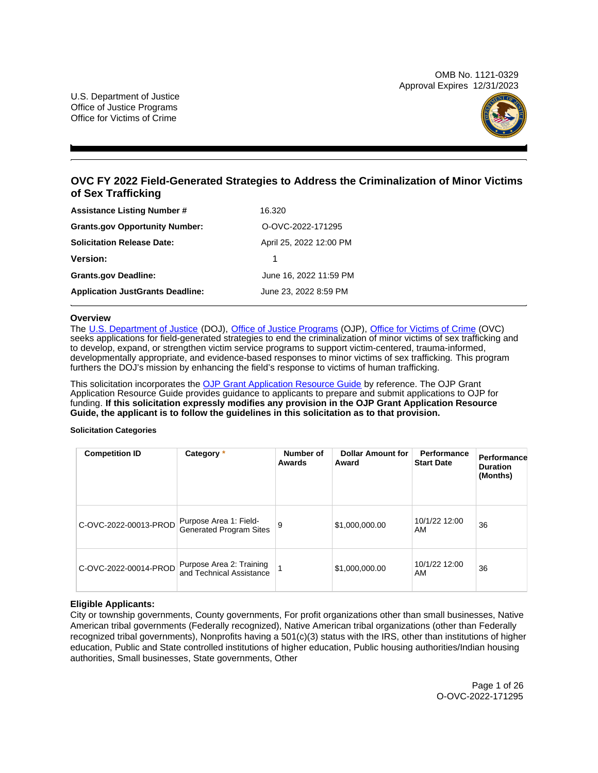OMB No. 1121-0329 Approval Expires 12/31/2023

U.S. Department of Justice Office of Justice Programs Office for Victims of Crime



# **OVC FY 2022 Field-Generated Strategies to Address the Criminalization of Minor Victims of Sex Trafficking**

| <b>Assistance Listing Number #</b>      | 16.320                  |
|-----------------------------------------|-------------------------|
| <b>Grants.gov Opportunity Number:</b>   | O-OVC-2022-171295       |
| <b>Solicitation Release Date:</b>       | April 25, 2022 12:00 PM |
| <b>Version:</b>                         |                         |
| <b>Grants.gov Deadline:</b>             | June 16, 2022 11:59 PM  |
| <b>Application JustGrants Deadline:</b> | June 23, 2022 8:59 PM   |

# **Overview**

The [U.S. Department of Justice](https://www.usdoj.gov/) (DOJ), [Office of Justice Programs](https://www.ojp.gov/) (OJP), [Office for Victims of Crime](https://ovc.ojp.gov/) (OVC) seeks applications for field-generated strategies to end the criminalization of minor victims of sex trafficking and to develop, expand, or strengthen victim service programs to support victim-centered, trauma-informed, developmentally appropriate, and evidence-based responses to minor victims of sex trafficking. This program furthers the DOJ's mission by enhancing the field's response to victims of human trafficking.

This solicitation incorporates the [OJP Grant Application Resource Guide](https://www.ojp.gov/funding/Apply/Resources/Grant-App-Resource-Guide.htm) by reference. The OJP Grant Application Resource Guide provides guidance to applicants to prepare and submit applications to OJP for funding. **If this solicitation expressly modifies any provision in the OJP Grant Application Resource Guide, the applicant is to follow the guidelines in this solicitation as to that provision.** 

#### **Solicitation Categories**

| <b>Competition ID</b> | Category *                                               | Number of<br>Awards | <b>Dollar Amount for</b><br>Award | Performance<br><b>Start Date</b> | Performance<br><b>Duration</b><br>(Months) |
|-----------------------|----------------------------------------------------------|---------------------|-----------------------------------|----------------------------------|--------------------------------------------|
| C-OVC-2022-00013-PROD | Purpose Area 1: Field-<br><b>Generated Program Sites</b> | 9                   | \$1,000,000.00                    | 10/1/22 12:00<br>AM              | 36                                         |
| C-OVC-2022-00014-PROD | Purpose Area 2: Training<br>and Technical Assistance     |                     | \$1,000,000.00                    | 10/1/22 12:00<br>AM              | 36                                         |

# **Eligible Applicants:**

City or township governments, County governments, For profit organizations other than small businesses, Native American tribal governments (Federally recognized), Native American tribal organizations (other than Federally recognized tribal governments), Nonprofits having a  $501(c)(3)$  status with the IRS, other than institutions of higher education, Public and State controlled institutions of higher education, Public housing authorities/Indian housing authorities, Small businesses, State governments, Other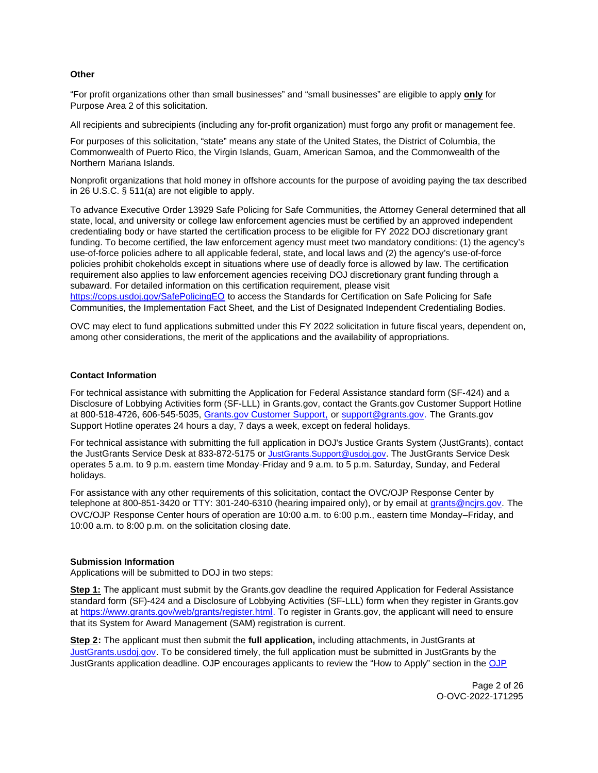# <span id="page-1-0"></span>**Other**

"For profit organizations other than small businesses" and "small businesses" are eligible to apply **only** for Purpose Area 2 of this solicitation.

All recipients and subrecipients (including any for-profit organization) must forgo any profit or management fee.

For purposes of this solicitation, "state" means any state of the United States, the District of Columbia, the Commonwealth of Puerto Rico, the Virgin Islands, Guam, American Samoa, and the Commonwealth of the Northern Mariana Islands.

Nonprofit organizations that hold money in offshore accounts for the purpose of avoiding paying the tax described in 26 U.S.C. § 511(a) are not eligible to apply.

To advance Executive Order 13929 Safe Policing for Safe Communities, the Attorney General determined that all state, local, and university or college law enforcement agencies must be certified by an approved independent credentialing body or have started the certification process to be eligible for FY 2022 DOJ discretionary grant funding. To become certified, the law enforcement agency must meet two mandatory conditions: (1) the agency's use-of-force policies adhere to all applicable federal, state, and local laws and (2) the agency's use-of-force policies prohibit chokeholds except in situations where use of deadly force is allowed by law. The certification requirement also applies to law enforcement agencies receiving DOJ discretionary grant funding through a subaward. For detailed information on this certification requirement, please visit [https://cops.usdoj.gov/SafePolicingEO](https://cops.usdoj.gov/SafePolicingEO%20) to access the Standards for Certification on Safe Policing for Safe Communities, the Implementation Fact Sheet, and the List of Designated Independent Credentialing Bodies.

OVC may elect to fund applications submitted under this FY 2022 solicitation in future fiscal years, dependent on, among other considerations, the merit of the applications and the availability of appropriations.

### **Contact Information**

For technical assistance with submitting the Application for Federal Assistance standard form (SF-424) and a Disclosure of Lobbying Activities form (SF-LLL) in [Grants.gov](https://Grants.gov), contact the [Grants.gov](https://Grants.gov) Customer Support Hotline at 800-518-4726, 606-545-5035, [Grants.gov Customer Support,](https://www.grants.gov/web/grants/support.html) or [support@grants.gov.](mailto:support@grants.gov) The [Grants.gov](https://Grants.gov) Support Hotline operates 24 hours a day, 7 days a week, except on federal holidays.

For technical assistance with submitting the full application in DOJ's Justice Grants System (JustGrants), contact the JustGrants Service Desk at 833-872-5175 or [JustGrants.Support@usdoj.gov.](mailto:JustGrants.Support@usdoj.gov) The JustGrants Service Desk operates 5 a.m. to 9 p.m. eastern time Monday-Friday and 9 a.m. to 5 p.m. Saturday, Sunday, and Federal holidays.

For assistance with any other requirements of this solicitation, contact the OVC/OJP Response Center by telephone at 800-851-3420 or TTY: 301-240-6310 (hearing impaired only), or by email at [grants@ncjrs.gov.](mailto:grants@ncjrs.gov) The OVC/OJP Response Center hours of operation are 10:00 a.m. to 6:00 p.m., eastern time Monday–Friday, and 10:00 a.m. to 8:00 p.m. on the solicitation closing date.

#### **Submission Information**

Applications will be submitted to DOJ in two steps:

**Step 1:** The applicant must submit by the [Grants.gov](https://Grants.gov) deadline the required Application for Federal Assistance standard form (SF)-424 and a Disclosure of Lobbying Activities (SF-LLL) form when they register in [Grants.gov](https://Grants.gov) at [https://www.grants.gov/web/grants/register.html.](https://www.grants.gov/web/grants/register.html) To register in [Grants.gov](https://Grants.gov), the applicant will need to ensure that its System for Award Management (SAM) registration is current.

**Step 2:** The applicant must then submit the **full application,** including attachments, in JustGrants at [JustGrants.usdoj.gov.](https://justicegrants.usdoj.gov/) To be considered timely, the full application must be submitted in JustGrants by the JustGrants application deadline. OJP encourages applicants to review the "How to Apply" section in the [OJP](https://www.ojp.gov/funding/apply/ojp-grant-application-resource-guide#apply)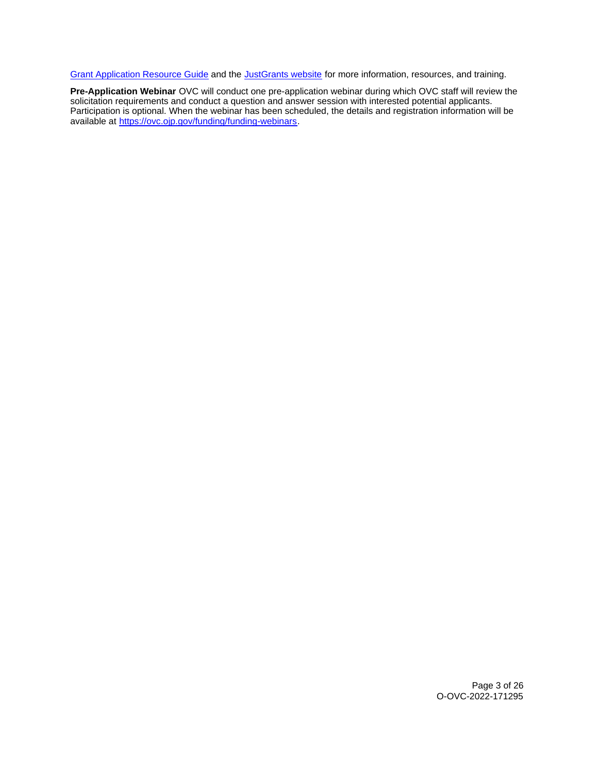[Grant Application Resource Guide](https://www.ojp.gov/funding/apply/ojp-grant-application-resource-guide#apply) and the [JustGrants website](https://justicegrants.usdoj.gov/news) for more information, resources, and training.

**Pre-Application Webinar** OVC will conduct one pre-application webinar during which OVC staff will review the solicitation requirements and conduct a question and answer session with interested potential applicants. Participation is optional. When the webinar has been scheduled, the details and registration information will be available at [https://ovc.ojp.gov/funding/funding-webinars.](https://ovc.ojp.gov/funding/funding-webinars)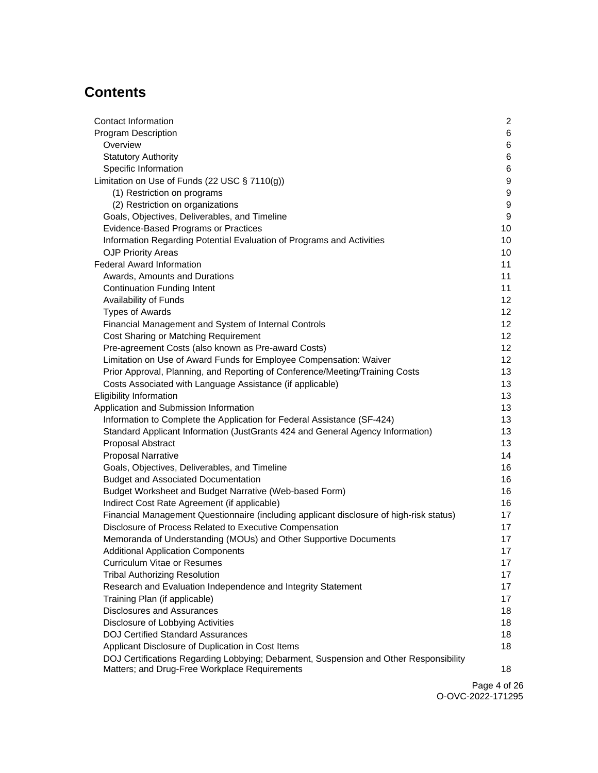# **Contents**

| Contact Information                                                                     | $\overline{2}$   |
|-----------------------------------------------------------------------------------------|------------------|
| <b>Program Description</b>                                                              | 6                |
| Overview                                                                                | 6                |
| <b>Statutory Authority</b>                                                              | 6                |
| Specific Information                                                                    | 6                |
| Limitation on Use of Funds (22 USC § 7110(g))                                           | 9                |
| (1) Restriction on programs                                                             | 9                |
| (2) Restriction on organizations                                                        | $\boldsymbol{9}$ |
| Goals, Objectives, Deliverables, and Timeline                                           | $\boldsymbol{9}$ |
| Evidence-Based Programs or Practices                                                    | 10               |
| Information Regarding Potential Evaluation of Programs and Activities                   | 10               |
| <b>OJP Priority Areas</b>                                                               | 10               |
| <b>Federal Award Information</b>                                                        | 11               |
| Awards, Amounts and Durations                                                           | 11               |
| <b>Continuation Funding Intent</b>                                                      | 11               |
| Availability of Funds                                                                   | 12               |
| <b>Types of Awards</b>                                                                  | 12               |
| Financial Management and System of Internal Controls                                    | 12               |
| Cost Sharing or Matching Requirement                                                    | 12 <sub>2</sub>  |
| Pre-agreement Costs (also known as Pre-award Costs)                                     | 12 <sub>2</sub>  |
| Limitation on Use of Award Funds for Employee Compensation: Waiver                      | 12               |
| Prior Approval, Planning, and Reporting of Conference/Meeting/Training Costs            | 13               |
| Costs Associated with Language Assistance (if applicable)                               | 13               |
| <b>Eligibility Information</b>                                                          | 13               |
| Application and Submission Information                                                  | 13               |
| Information to Complete the Application for Federal Assistance (SF-424)                 | 13               |
| Standard Applicant Information (JustGrants 424 and General Agency Information)          | 13               |
| Proposal Abstract                                                                       | 13               |
| <b>Proposal Narrative</b>                                                               | 14               |
| Goals, Objectives, Deliverables, and Timeline                                           | 16               |
| <b>Budget and Associated Documentation</b>                                              | 16               |
| Budget Worksheet and Budget Narrative (Web-based Form)                                  | 16               |
| Indirect Cost Rate Agreement (if applicable)                                            | 16               |
| Financial Management Questionnaire (including applicant disclosure of high-risk status) | 17               |
| Disclosure of Process Related to Executive Compensation                                 | 17               |
| Memoranda of Understanding (MOUs) and Other Supportive Documents                        | 17               |
| <b>Additional Application Components</b>                                                | 17               |
| Curriculum Vitae or Resumes                                                             | 17               |
| <b>Tribal Authorizing Resolution</b>                                                    | 17               |
| Research and Evaluation Independence and Integrity Statement                            | 17               |
| Training Plan (if applicable)                                                           | 17               |
| <b>Disclosures and Assurances</b>                                                       | 18               |
| Disclosure of Lobbying Activities                                                       | 18               |
| <b>DOJ Certified Standard Assurances</b>                                                | 18               |
| Applicant Disclosure of Duplication in Cost Items                                       | 18               |
| DOJ Certifications Regarding Lobbying; Debarment, Suspension and Other Responsibility   |                  |
| Matters; and Drug-Free Workplace Requirements                                           | 18               |

Page 4 of 26 O-OVC-2022-171295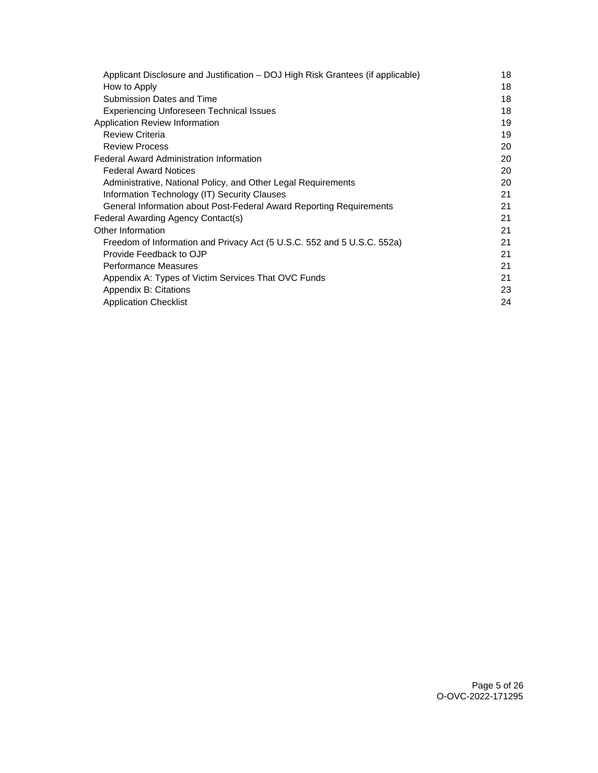| Applicant Disclosure and Justification – DOJ High Risk Grantees (if applicable) | 18 |
|---------------------------------------------------------------------------------|----|
| How to Apply                                                                    | 18 |
| Submission Dates and Time                                                       | 18 |
| <b>Experiencing Unforeseen Technical Issues</b>                                 | 18 |
| Application Review Information                                                  | 19 |
| <b>Review Criteria</b>                                                          | 19 |
| <b>Review Process</b>                                                           | 20 |
| <b>Federal Award Administration Information</b>                                 | 20 |
| <b>Federal Award Notices</b>                                                    | 20 |
| Administrative, National Policy, and Other Legal Requirements                   | 20 |
| Information Technology (IT) Security Clauses                                    | 21 |
| General Information about Post-Federal Award Reporting Requirements             | 21 |
| Federal Awarding Agency Contact(s)                                              | 21 |
| Other Information                                                               | 21 |
| Freedom of Information and Privacy Act (5 U.S.C. 552 and 5 U.S.C. 552a)         | 21 |
| Provide Feedback to OJP                                                         | 21 |
| Performance Measures                                                            | 21 |
| Appendix A: Types of Victim Services That OVC Funds                             | 21 |
| Appendix B: Citations                                                           | 23 |
| <b>Application Checklist</b>                                                    | 24 |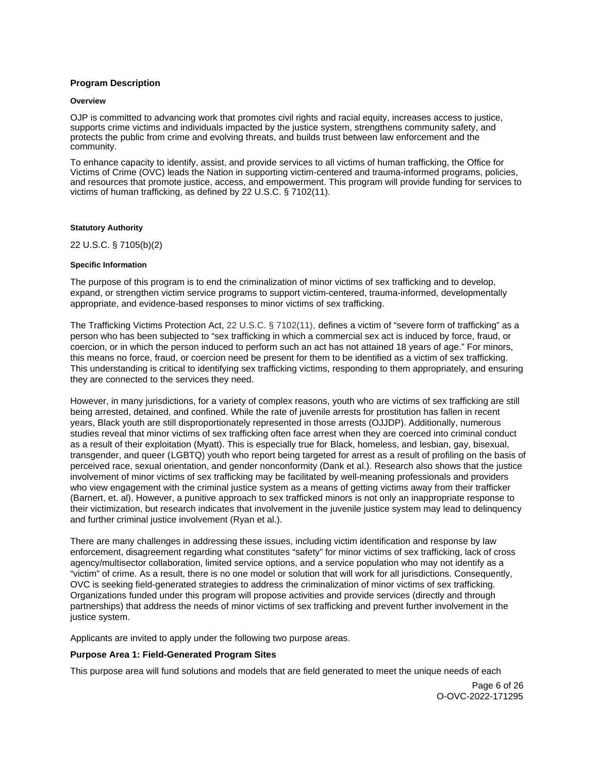# <span id="page-5-0"></span>**Program Description**

#### **Overview**

OJP is committed to advancing work that promotes civil rights and racial equity, increases access to justice, supports crime victims and individuals impacted by the justice system, strengthens community safety, and protects the public from crime and evolving threats, and builds trust between law enforcement and the community.

To enhance capacity to identify, assist, and provide services to all victims of human trafficking, the Office for Victims of Crime (OVC) leads the Nation in supporting victim-centered and trauma-informed programs, policies, and resources that promote justice, access, and empowerment. This program will provide funding for services to victims of human trafficking, as defined by 22 U.S.C. § 7102(11).

#### **Statutory Authority**

22 U.S.C. § 7105(b)(2)

#### **Specific Information**

The purpose of this program is to end the criminalization of minor victims of sex trafficking and to develop, expand, or strengthen victim service programs to support victim-centered, trauma-informed, developmentally appropriate, and evidence-based responses to minor victims of sex trafficking.

The Trafficking Victims Protection Act, 22 U.S.C. § 7102(11), defines a victim of "severe form of trafficking" as a person who has been subjected to "sex trafficking in which a commercial sex act is induced by force, fraud, or coercion, or in which the person induced to perform such an act has not attained 18 years of age." For minors, this means no force, fraud, or coercion need be present for them to be identified as a victim of sex trafficking. This understanding is critical to identifying sex trafficking victims, responding to them appropriately, and ensuring they are connected to the services they need.

However, in many jurisdictions, for a variety of complex reasons, youth who are victims of sex trafficking are still being arrested, detained, and confined. While the rate of juvenile arrests for prostitution has fallen in recent years, Black youth are still disproportionately represented in those arrests (OJJDP). Additionally, numerous studies reveal that minor victims of sex trafficking often face arrest when they are coerced into criminal conduct as a result of their exploitation (Myatt). This is especially true for Black, homeless, and lesbian, gay, bisexual, transgender, and queer (LGBTQ) youth who report being targeted for arrest as a result of profiling on the basis of perceived race, sexual orientation, and gender nonconformity (Dank et al.). Research also shows that the justice involvement of minor victims of sex trafficking may be facilitated by well-meaning professionals and providers who view engagement with the criminal justice system as a means of getting victims away from their trafficker (Barnert, et. al). However, a punitive approach to sex trafficked minors is not only an inappropriate response to their victimization, but research indicates that involvement in the juvenile justice system may lead to delinquency and further criminal justice involvement (Ryan et al.).

There are many challenges in addressing these issues, including victim identification and response by law enforcement, disagreement regarding what constitutes "safety" for minor victims of sex trafficking, lack of cross agency/multisector collaboration, limited service options, and a service population who may not identify as a "victim" of crime. As a result, there is no one model or solution that will work for all jurisdictions. Consequently, OVC is seeking field-generated strategies to address the criminalization of minor victims of sex trafficking. Organizations funded under this program will propose activities and provide services (directly and through partnerships) that address the needs of minor victims of sex trafficking and prevent further involvement in the justice system.

Applicants are invited to apply under the following two purpose areas.

# **Purpose Area 1: Field-Generated Program Sites**

This purpose area will fund solutions and models that are field generated to meet the unique needs of each

Page 6 of 26 O-OVC-2022-171295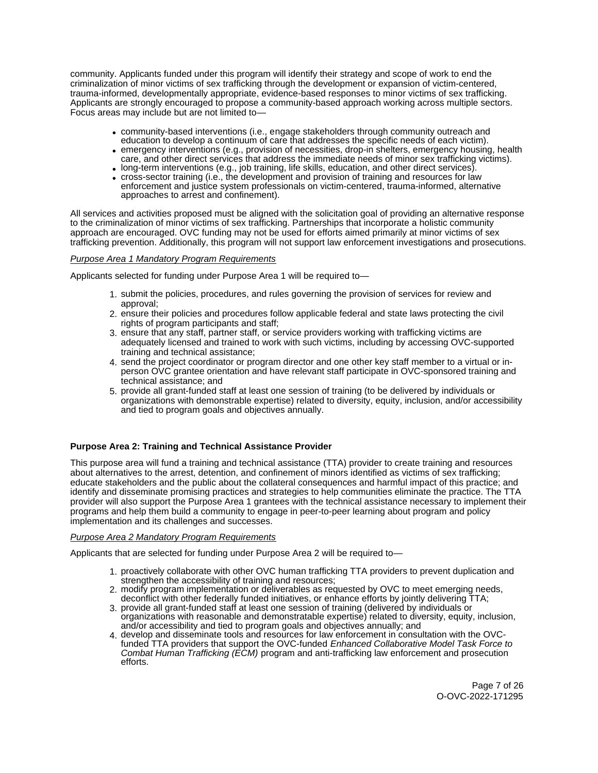community. Applicants funded under this program will identify their strategy and scope of work to end the criminalization of minor victims of sex trafficking through the development or expansion of victim-centered, trauma-informed, developmentally appropriate, evidence-based responses to minor victims of sex trafficking. Applicants are strongly encouraged to propose a community-based approach working across multiple sectors. Focus areas may include but are not limited to—

- community-based interventions (i.e., engage stakeholders through community outreach and education to develop a continuum of care that addresses the specific needs of each victim).
- emergency interventions (e.g., provision of necessities, drop-in shelters, emergency housing, health care, and other direct services that address the immediate needs of minor sex trafficking victims).
- long-term interventions (e.g., job training, life skills, education, and other direct services).
- cross-sector training (i.e., the development and provision of training and resources for law enforcement and justice system professionals on victim-centered, trauma-informed, alternative approaches to arrest and confinement).

All services and activities proposed must be aligned with the solicitation goal of providing an alternative response to the criminalization of minor victims of sex trafficking. Partnerships that incorporate a holistic community approach are encouraged. OVC funding may not be used for efforts aimed primarily at minor victims of sex trafficking prevention. Additionally, this program will not support law enforcement investigations and prosecutions.

# Purpose Area 1 Mandatory Program Requirements

Applicants selected for funding under Purpose Area 1 will be required to—

- 1. submit the policies, procedures, and rules governing the provision of services for review and approval;
- 2. ensure their policies and procedures follow applicable federal and state laws protecting the civil rights of program participants and staff;
- 3. ensure that any staff, partner staff, or service providers working with trafficking victims are adequately licensed and trained to work with such victims, including by accessing OVC-supported training and technical assistance;
- 4. send the project coordinator or program director and one other key staff member to a virtual or inperson OVC grantee orientation and have relevant staff participate in OVC-sponsored training and technical assistance; and
- 5. provide all grant-funded staff at least one session of training (to be delivered by individuals or organizations with demonstrable expertise) related to diversity, equity, inclusion, and/or accessibility and tied to program goals and objectives annually.

# **Purpose Area 2: Training and Technical Assistance Provider**

This purpose area will fund a training and technical assistance (TTA) provider to create training and resources about alternatives to the arrest, detention, and confinement of minors identified as victims of sex trafficking; educate stakeholders and the public about the collateral consequences and harmful impact of this practice; and identify and disseminate promising practices and strategies to help communities eliminate the practice. The TTA provider will also support the Purpose Area 1 grantees with the technical assistance necessary to implement their programs and help them build a community to engage in peer-to-peer learning about program and policy implementation and its challenges and successes.

# Purpose Area 2 Mandatory Program Requirements

Applicants that are selected for funding under Purpose Area 2 will be required to—

- 1. proactively collaborate with other OVC human trafficking TTA providers to prevent duplication and strengthen the accessibility of training and resources;
- 2. modify program implementation or deliverables as requested by OVC to meet emerging needs, deconflict with other federally funded initiatives, or enhance efforts by jointly delivering TTA;
- 3. provide all grant-funded staff at least one session of training (delivered by individuals or organizations with reasonable and demonstratable expertise) related to diversity, equity, inclusion, and/or accessibility and tied to program goals and objectives annually; and
- 4. develop and disseminate tools and resources for law enforcement in consultation with the OVCfunded TTA providers that support the OVC-funded Enhanced Collaborative Model Task Force to Combat Human Trafficking (ECM) program and anti-trafficking law enforcement and prosecution efforts.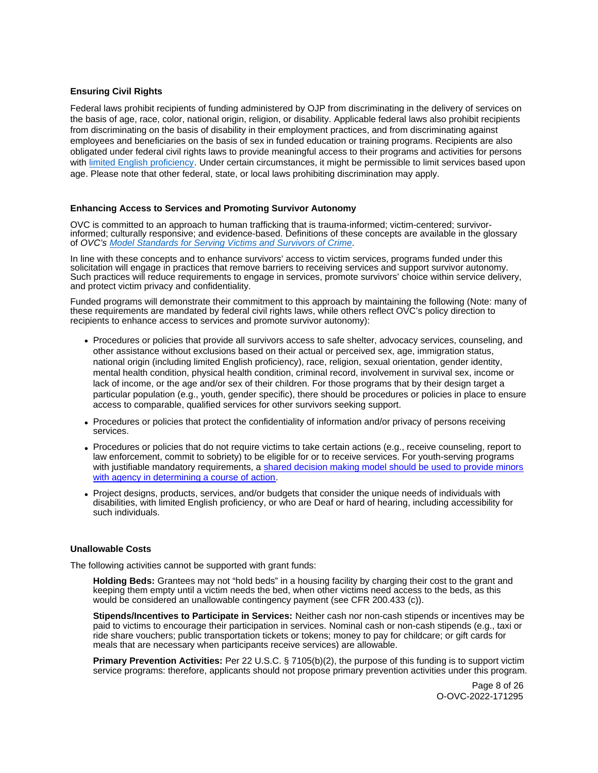# **Ensuring Civil Rights**

Federal laws prohibit recipients of funding administered by OJP from discriminating in the delivery of services on the basis of age, race, color, national origin, religion, or disability. Applicable federal laws also prohibit recipients from discriminating on the basis of disability in their employment practices, and from discriminating against employees and beneficiaries on the basis of sex in funded education or training programs. Recipients are also obligated under federal civil rights laws to provide meaningful access to their programs and activities for persons with [limited English proficiency.](https://www.ojp.gov/program/civil-rights/limited-english-proficient-lep) Under certain circumstances, it might be permissible to limit services based upon age. Please note that other federal, state, or local laws prohibiting discrimination may apply.

#### **Enhancing Access to Services and Promoting Survivor Autonomy**

OVC is committed to an approach to human trafficking that is trauma-informed; victim-centered; survivorinformed; culturally responsive; and evidence-based. Definitions of these concepts are available in the glossary of OVC's [Model Standards for Serving Victims and Survivors of Crime](https://ovc.ojp.gov/sites/g/files/xyckuh226/files/model-standards/6/glossary.html).

In line with these concepts and to enhance survivors' access to victim services, programs funded under this solicitation will engage in practices that remove barriers to receiving services and support survivor autonomy. Such practices will reduce requirements to engage in services, promote survivors' choice within service delivery, and protect victim privacy and confidentiality.

Funded programs will demonstrate their commitment to this approach by maintaining the following (Note: many of these requirements are mandated by federal civil rights laws, while others reflect OVC's policy direction to recipients to enhance access to services and promote survivor autonomy):

- Procedures or policies that provide all survivors access to safe shelter, advocacy services, counseling, and other assistance without exclusions based on their actual or perceived sex, age, immigration status, national origin (including limited English proficiency), race, religion, sexual orientation, gender identity, mental health condition, physical health condition, criminal record, involvement in survival sex, income or lack of income, or the age and/or sex of their children. For those programs that by their design target a particular population (e.g., youth, gender specific), there should be procedures or policies in place to ensure access to comparable, qualified services for other survivors seeking support.
- Procedures or policies that protect the confidentiality of information and/or privacy of persons receiving services.
- Procedures or policies that do not require victims to take certain actions (e.g., receive counseling, report to law enforcement, commit to sobriety) to be eligible for or to receive services. For youth-serving programs with justifiable mandatory requirements, a [shared decision making model should be used to provide minors](https://www.acf.hhs.gov/sites/default/files/documents/fysb/acf_issuebrief_htprevention_10202020_final_508.pdf)  [with agency in determining a course of action.](https://www.acf.hhs.gov/sites/default/files/documents/fysb/acf_issuebrief_htprevention_10202020_final_508.pdf)
- Project designs, products, services, and/or budgets that consider the unique needs of individuals with disabilities, with limited English proficiency, or who are Deaf or hard of hearing, including accessibility for such individuals.

#### **Unallowable Costs**

The following activities cannot be supported with grant funds:

**Holding Beds:** Grantees may not "hold beds" in a housing facility by charging their cost to the grant and keeping them empty until a victim needs the bed, when other victims need access to the beds, as this would be considered an unallowable contingency payment (see CFR 200.433 (c)).

**Stipends/Incentives to Participate in Services:** Neither cash nor non-cash stipends or incentives may be paid to victims to encourage their participation in services. Nominal cash or non-cash stipends (e.g., taxi or ride share vouchers; public transportation tickets or tokens; money to pay for childcare; or gift cards for meals that are necessary when participants receive services) are allowable.

**Primary Prevention Activities:** Per 22 U.S.C. § 7105(b)(2), the purpose of this funding is to support victim service programs: therefore, applicants should not propose primary prevention activities under this program.

> Page 8 of 26 O-OVC-2022-171295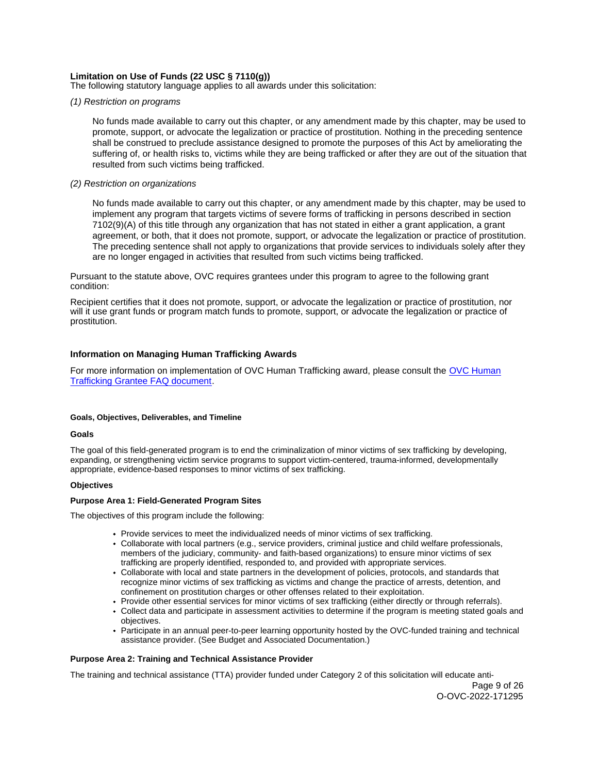# <span id="page-8-0"></span>**Limitation on Use of Funds (22 USC § 7110(g))**

The following statutory language applies to all awards under this solicitation:

#### (1) Restriction on programs

No funds made available to carry out this chapter, or any amendment made by this chapter, may be used to promote, support, or advocate the legalization or practice of prostitution. Nothing in the preceding sentence shall be construed to preclude assistance designed to promote the purposes of this Act by ameliorating the suffering of, or health risks to, victims while they are being trafficked or after they are out of the situation that resulted from such victims being trafficked.

#### (2) Restriction on organizations

No funds made available to carry out this chapter, or any amendment made by this chapter, may be used to implement any program that targets victims of severe forms of trafficking in persons described in section 7102(9)(A) of this title through any organization that has not stated in either a grant application, a grant agreement, or both, that it does not promote, support, or advocate the legalization or practice of prostitution. The preceding sentence shall not apply to organizations that provide services to individuals solely after they are no longer engaged in activities that resulted from such victims being trafficked.

Pursuant to the statute above, OVC requires grantees under this program to agree to the following grant condition:

Recipient certifies that it does not promote, support, or advocate the legalization or practice of prostitution, nor will it use grant funds or program match funds to promote, support, or advocate the legalization or practice of prostitution.

# **Information on Managing Human Trafficking Awards**

For more information on implementation of OVC Human Trafficking award, please consult the [OVC Human](https://ovc.ojp.gov/program/human-trafficking/ovc-human-trafficking-program-faqs)  [Trafficking Grantee FAQ document.](https://ovc.ojp.gov/program/human-trafficking/ovc-human-trafficking-program-faqs)

#### **Goals, Objectives, Deliverables, and Timeline**

#### **Goals**

The goal of this field-generated program is to end the criminalization of minor victims of sex trafficking by developing, expanding, or strengthening victim service programs to support victim-centered, trauma-informed, developmentally appropriate, evidence-based responses to minor victims of sex trafficking.

#### **Objectives**

#### **Purpose Area 1: Field-Generated Program Sites**

The objectives of this program include the following:

- Provide services to meet the individualized needs of minor victims of sex trafficking.
- Collaborate with local partners (e.g., service providers, criminal justice and child welfare professionals, members of the judiciary, community- and faith-based organizations) to ensure minor victims of sex trafficking are properly identified, responded to, and provided with appropriate services.
- Collaborate with local and state partners in the development of policies, protocols, and standards that recognize minor victims of sex trafficking as victims and change the practice of arrests, detention, and confinement on prostitution charges or other offenses related to their exploitation.
- Provide other essential services for minor victims of sex trafficking (either directly or through referrals).
- Collect data and participate in assessment activities to determine if the program is meeting stated goals and objectives.
- Participate in an annual peer-to-peer learning opportunity hosted by the OVC-funded training and technical assistance provider. (See Budget and Associated Documentation.)

#### **Purpose Area 2: Training and Technical Assistance Provider**

The training and technical assistance (TTA) provider funded under Category 2 of this solicitation will educate anti-

Page 9 of 26 O-OVC-2022-171295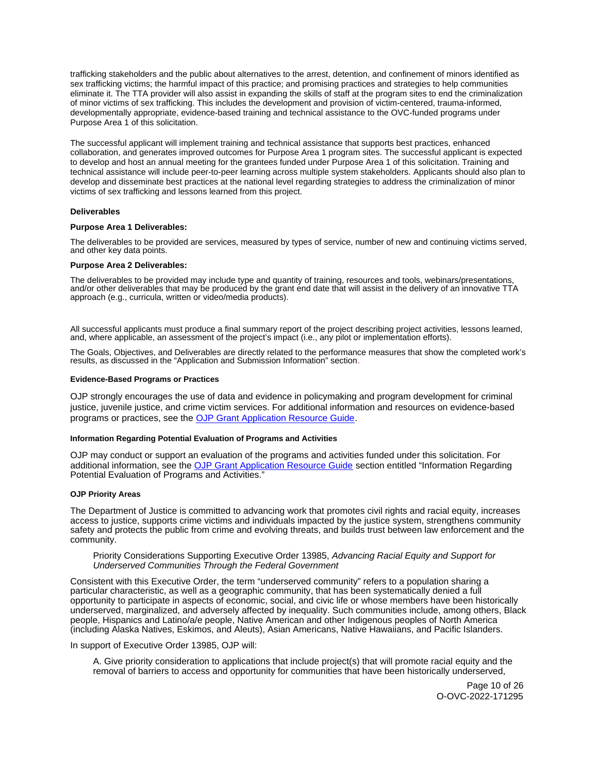<span id="page-9-0"></span>trafficking stakeholders and the public about alternatives to the arrest, detention, and confinement of minors identified as sex trafficking victims; the harmful impact of this practice; and promising practices and strategies to help communities eliminate it. The TTA provider will also assist in expanding the skills of staff at the program sites to end the criminalization of minor victims of sex trafficking. This includes the development and provision of victim-centered, trauma-informed, developmentally appropriate, evidence-based training and technical assistance to the OVC-funded programs under Purpose Area 1 of this solicitation.

The successful applicant will implement training and technical assistance that supports best practices, enhanced collaboration, and generates improved outcomes for Purpose Area 1 program sites. The successful applicant is expected to develop and host an annual meeting for the grantees funded under Purpose Area 1 of this solicitation. Training and technical assistance will include peer-to-peer learning across multiple system stakeholders. Applicants should also plan to develop and disseminate best practices at the national level regarding strategies to address the criminalization of minor victims of sex trafficking and lessons learned from this project.

#### **Deliverables**

#### **Purpose Area 1 Deliverables:**

The deliverables to be provided are services, measured by types of service, number of new and continuing victims served, and other key data points.

#### **Purpose Area 2 Deliverables:**

The deliverables to be provided may include type and quantity of training, resources and tools, webinars/presentations, and/or other deliverables that may be produced by the grant end date that will assist in the delivery of an innovative TTA approach (e.g., curricula, written or video/media products).

All successful applicants must produce a final summary report of the project describing project activities, lessons learned, and, where applicable, an assessment of the project's impact (i.e., any pilot or implementation efforts).

The Goals, Objectives, and Deliverables are directly related to the performance measures that show the completed work's results, as discussed in the "Application and Submission Information" section.

#### **Evidence-Based Programs or Practices**

OJP strongly encourages the use of data and evidence in policymaking and program development for criminal justice, juvenile justice, and crime victim services. For additional information and resources on evidence-based programs or practices, see the [OJP Grant Application Resource Guide.](https://www.ojp.gov/funding/apply/ojp-grant-application-resource-guide#evidence-based)

#### **Information Regarding Potential Evaluation of Programs and Activities**

OJP may conduct or support an evaluation of the programs and activities funded under this solicitation. For additional information, see the [OJP Grant Application Resource Guide](https://www.ojp.gov/funding/apply/ojp-grant-application-resource-guide#potential-evaluation) section entitled "Information Regarding Potential Evaluation of Programs and Activities."

#### **OJP Priority Areas**

The Department of Justice is committed to advancing work that promotes civil rights and racial equity, increases access to justice, supports crime victims and individuals impacted by the justice system, strengthens community safety and protects the public from crime and evolving threats, and builds trust between law enforcement and the community.

#### Priority Considerations Supporting Executive Order 13985, Advancing Racial Equity and Support for Underserved Communities Through the Federal Government

Consistent with this Executive Order, the term "underserved community" refers to a population sharing a particular characteristic, as well as a geographic community, that has been systematically denied a full opportunity to participate in aspects of economic, social, and civic life or whose members have been historically underserved, marginalized, and adversely affected by inequality. Such communities include, among others, Black people, Hispanics and Latino/a/e people, Native American and other Indigenous peoples of North America (including Alaska Natives, Eskimos, and Aleuts), Asian Americans, Native Hawaiians, and Pacific Islanders.

In support of Executive Order 13985, OJP will:

A. Give priority consideration to applications that include project(s) that will promote racial equity and the removal of barriers to access and opportunity for communities that have been historically underserved,

> Page 10 of 26 O-OVC-2022-171295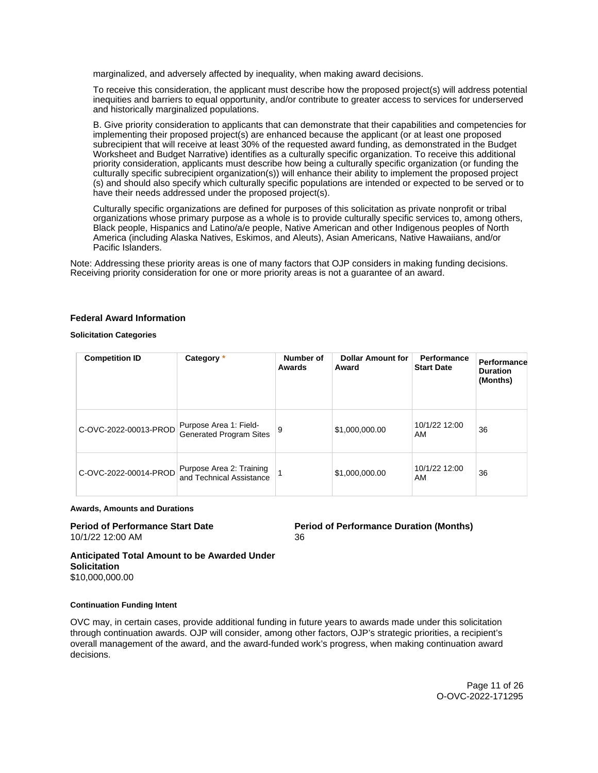<span id="page-10-0"></span>marginalized, and adversely affected by inequality, when making award decisions.

To receive this consideration, the applicant must describe how the proposed project(s) will address potential inequities and barriers to equal opportunity, and/or contribute to greater access to services for underserved and historically marginalized populations.

B. Give priority consideration to applicants that can demonstrate that their capabilities and competencies for implementing their proposed project(s) are enhanced because the applicant (or at least one proposed subrecipient that will receive at least 30% of the requested award funding, as demonstrated in the Budget Worksheet and Budget Narrative) identifies as a culturally specific organization. To receive this additional priority consideration, applicants must describe how being a culturally specific organization (or funding the culturally specific subrecipient organization(s)) will enhance their ability to implement the proposed project (s) and should also specify which culturally specific populations are intended or expected to be served or to have their needs addressed under the proposed project(s).

Culturally specific organizations are defined for purposes of this solicitation as private nonprofit or tribal organizations whose primary purpose as a whole is to provide culturally specific services to, among others, Black people, Hispanics and Latino/a/e people, Native American and other Indigenous peoples of North America (including Alaska Natives, Eskimos, and Aleuts), Asian Americans, Native Hawaiians, and/or Pacific Islanders.

Note: Addressing these priority areas is one of many factors that OJP considers in making funding decisions. Receiving priority consideration for one or more priority areas is not a guarantee of an award.

#### **Federal Award Information**

**Solicitation Categories** 

| <b>Competition ID</b> | Category *                                               | Number of<br>Awards | <b>Dollar Amount for</b><br>Award | Performance<br><b>Start Date</b> | Performance<br><b>Duration</b><br>(Months) |
|-----------------------|----------------------------------------------------------|---------------------|-----------------------------------|----------------------------------|--------------------------------------------|
| C-OVC-2022-00013-PROD | Purpose Area 1: Field-<br><b>Generated Program Sites</b> | 9                   | \$1,000,000.00                    | 10/1/22 12:00<br>AM              | 36                                         |
| C-OVC-2022-00014-PROD | Purpose Area 2: Training<br>and Technical Assistance     |                     | \$1,000,000.00                    | 10/1/22 12:00<br>AM              | 36                                         |

#### **Awards, Amounts and Durations**

10/1/22 12:00 AM 36

**Period of Performance Start Date Period of Performance Duration (Months)** 

**Anticipated Total Amount to be Awarded Under Solicitation**  \$10,000,000.00

#### **Continuation Funding Intent**

OVC may, in certain cases, provide additional funding in future years to awards made under this solicitation through continuation awards. OJP will consider, among other factors, OJP's strategic priorities, a recipient's overall management of the award, and the award-funded work's progress, when making continuation award decisions.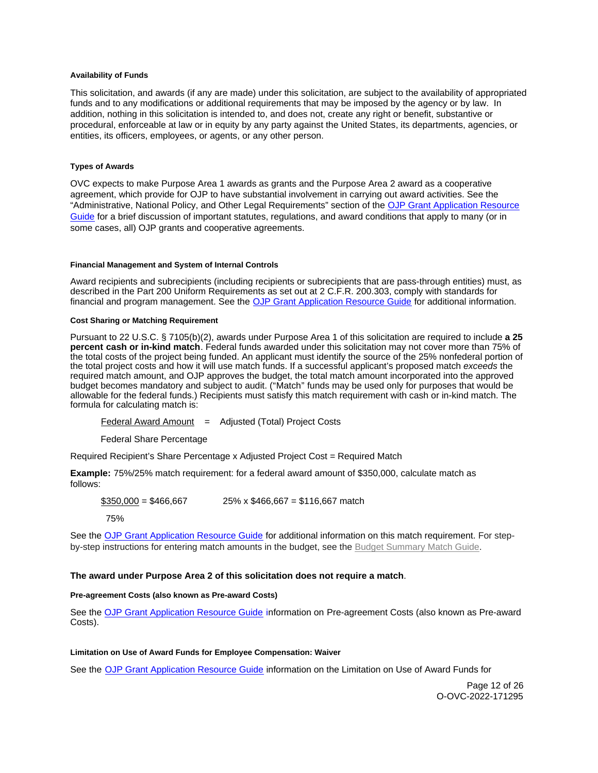#### <span id="page-11-0"></span>**Availability of Funds**

This solicitation, and awards (if any are made) under this solicitation, are subject to the availability of appropriated funds and to any modifications or additional requirements that may be imposed by the agency or by law. In addition, nothing in this solicitation is intended to, and does not, create any right or benefit, substantive or procedural, enforceable at law or in equity by any party against the United States, its departments, agencies, or entities, its officers, employees, or agents, or any other person.

#### **Types of Awards**

OVC expects to make Purpose Area 1 awards as grants and the Purpose Area 2 award as a cooperative agreement, which provide for OJP to have substantial involvement in carrying out award activities. See the "Administrative, National Policy, and Other Legal Requirements" section of the [OJP Grant Application Resource](https://ojp.gov/funding/Apply/Resources/Grant-App-Resource-Guide.htm)  [Guide](https://ojp.gov/funding/Apply/Resources/Grant-App-Resource-Guide.htm) for a brief discussion of important statutes, regulations, and award conditions that apply to many (or in some cases, all) OJP grants and cooperative agreements.

#### **Financial Management and System of Internal Controls**

Award recipients and subrecipients (including recipients or subrecipients that are pass-through entities) must, as described in the Part 200 Uniform Requirements as set out at 2 C.F.R. 200.303, comply with standards for financial and program management. See the [OJP Grant Application Resource Guide](https://www.ojp.gov/funding/apply/ojp-grant-application-resource-guide#fm-internal-controls) for additional information.

#### **Cost Sharing or Matching Requirement**

Pursuant to 22 U.S.C. § 7105(b)(2), awards under Purpose Area 1 of this solicitation are required to include **a 25 percent cash or in-kind match**. Federal funds awarded under this solicitation may not cover more than 75% of the total costs of the project being funded. An applicant must identify the source of the 25% nonfederal portion of the total project costs and how it will use match funds. If a successful applicant's proposed match exceeds the required match amount, and OJP approves the budget, the total match amount incorporated into the approved budget becomes mandatory and subject to audit. ("Match" funds may be used only for purposes that would be allowable for the federal funds.) Recipients must satisfy this match requirement with cash or in-kind match. The formula for calculating match is:

Federal Award Amount  $=$  Adjusted (Total) Project Costs

Federal Share Percentage

Required Recipient's Share Percentage x Adjusted Project Cost = Required Match

**Example:** 75%/25% match requirement: for a federal award amount of \$350,000, calculate match as follows:

 $$350,000 = $466,667$  25% x \$466,667 = \$116,667 match

75%

See the [OJP Grant Application Resource Guide](https://www.ojp.gov/funding/apply/ojp-grant-application-resource-guide#cost-sharing) for additional information on this match requirement. For stepby-step instructions for entering match amounts in the budget, see the [Budget Summary Match Guide.](https://justicegrants.usdoj.gov/sites/g/files/xyckuh296/files/media/document/budget-summary-match-guide.pdf)

#### **The award under Purpose Area 2 of this solicitation does not require a match**.

#### **Pre-agreement Costs (also known as Pre-award Costs)**

See the [OJP Grant Application Resource Guide](https://www.ojp.gov/funding/apply/ojp-grant-application-resource-guide#pre-agreement-costs) information on Pre-agreement Costs (also known as Pre-award Costs).

#### **Limitation on Use of Award Funds for Employee Compensation: Waiver**

See the [OJP Grant Application Resource Guide](https://www.ojp.gov/funding/apply/ojp-grant-application-resource-guide#limitation-use-award) information on the Limitation on Use of Award Funds for

Page 12 of 26 O-OVC-2022-171295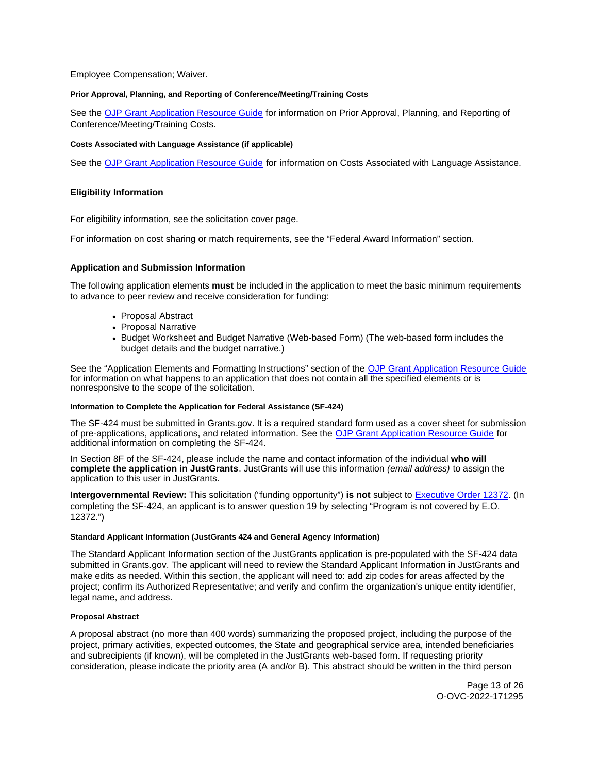<span id="page-12-0"></span>Employee Compensation; Waiver.

#### **Prior Approval, Planning, and Reporting of Conference/Meeting/Training Costs**

See the [OJP Grant Application Resource Guide](https://www.ojp.gov/funding/apply/ojp-grant-application-resource-guide#prior-approval) for information on Prior Approval, Planning, and Reporting of Conference/Meeting/Training Costs.

#### **Costs Associated with Language Assistance (if applicable)**

See the [OJP Grant Application Resource Guide](https://www.ojp.gov/funding/apply/ojp-grant-application-resource-guide#costs-associated) for information on Costs Associated with Language Assistance.

#### **Eligibility Information**

For eligibility information, see the solicitation cover page.

For information on cost sharing or match requirements, see the "Federal Award Information" section.

#### **Application and Submission Information**

The following application elements **must** be included in the application to meet the basic minimum requirements to advance to peer review and receive consideration for funding:

- Proposal Abstract
- Proposal Narrative
- Budget Worksheet and Budget Narrative (Web-based Form) (The web-based form includes the budget details and the budget narrative.)

See the "Application Elements and Formatting Instructions" section of the [OJP Grant Application Resource Guide](https://www.ojp.gov/funding/apply/ojp-grant-application-resource-guide#application-elements)  for information on what happens to an application that does not contain all the specified elements or is nonresponsive to the scope of the solicitation.

#### **Information to Complete the Application for Federal Assistance (SF-424)**

The SF-424 must be submitted in [Grants.gov](https://Grants.gov). It is a required standard form used as a cover sheet for submission of pre-applications, applications, and related information. See the [OJP Grant Application Resource Guide](https://www.ojp.gov/funding/Apply/Resources/Grant-App-Resource-Guide.htm) for additional information on completing the SF-424.

In Section 8F of the SF-424, please include the name and contact information of the individual **who will complete the application in JustGrants**. JustGrants will use this information (email address) to assign the application to this user in JustGrants.

**Intergovernmental Review:** This solicitation ("funding opportunity") **is not** subject to [Executive Order 12372.](https://www.archives.gov/federal-register/codification/executive-order/12372.html) (In completing the SF-424, an applicant is to answer question 19 by selecting "Program is not covered by E.O. 12372.")

#### **Standard Applicant Information (JustGrants 424 and General Agency Information)**

The Standard Applicant Information section of the JustGrants application is pre-populated with the SF-424 data submitted in [Grants.gov.](https://Grants.gov) The applicant will need to review the Standard Applicant Information in JustGrants and make edits as needed. Within this section, the applicant will need to: add zip codes for areas affected by the project; confirm its Authorized Representative; and verify and confirm the organization's unique entity identifier, legal name, and address.

#### **Proposal Abstract**

A proposal abstract (no more than 400 words) summarizing the proposed project, including the purpose of the project, primary activities, expected outcomes, the State and geographical service area, intended beneficiaries and subrecipients (if known), will be completed in the JustGrants web-based form. If requesting priority consideration, please indicate the priority area (A and/or B). This abstract should be written in the third person

> Page 13 of 26 O-OVC-2022-171295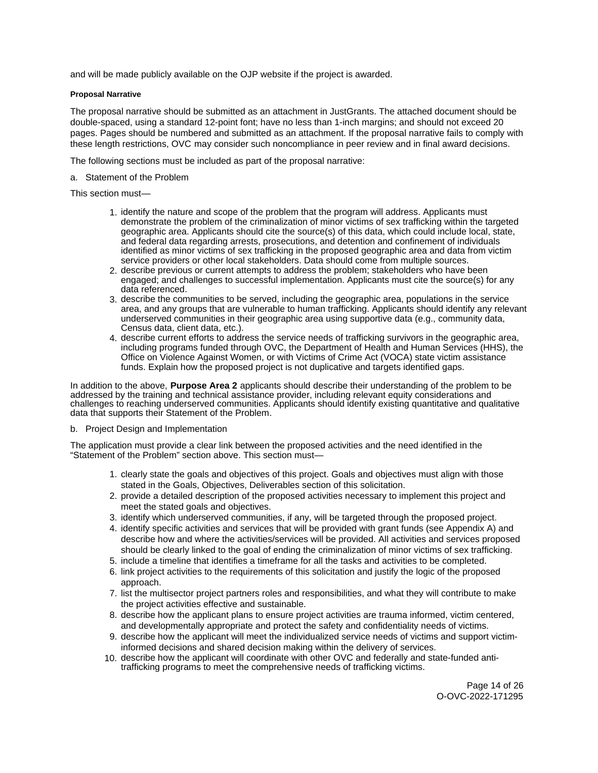<span id="page-13-0"></span>and will be made publicly available on the OJP website if the project is awarded.

#### **Proposal Narrative**

The proposal narrative should be submitted as an attachment in JustGrants. The attached document should be double-spaced, using a standard 12-point font; have no less than 1-inch margins; and should not exceed 20 pages. Pages should be numbered and submitted as an attachment. If the proposal narrative fails to comply with these length restrictions, OVC may consider such noncompliance in peer review and in final award decisions.

The following sections must be included as part of the proposal narrative:

a. Statement of the Problem

This section must—

- 1. identify the nature and scope of the problem that the program will address. Applicants must demonstrate the problem of the criminalization of minor victims of sex trafficking within the targeted geographic area. Applicants should cite the source(s) of this data, which could include local, state, and federal data regarding arrests, prosecutions, and detention and confinement of individuals identified as minor victims of sex trafficking in the proposed geographic area and data from victim service providers or other local stakeholders. Data should come from multiple sources.
- 2. describe previous or current attempts to address the problem; stakeholders who have been engaged; and challenges to successful implementation. Applicants must cite the source(s) for any data referenced.
- 3. describe the communities to be served, including the geographic area, populations in the service area, and any groups that are vulnerable to human trafficking. Applicants should identify any relevant underserved communities in their geographic area using supportive data (e.g., community data, Census data, client data, etc.).
- 4. describe current efforts to address the service needs of trafficking survivors in the geographic area, including programs funded through OVC, the Department of Health and Human Services (HHS), the Office on Violence Against Women, or with Victims of Crime Act (VOCA) state victim assistance funds. Explain how the proposed project is not duplicative and targets identified gaps.

In addition to the above, **Purpose Area 2** applicants should describe their understanding of the problem to be addressed by the training and technical assistance provider, including relevant equity considerations and challenges to reaching underserved communities. Applicants should identify existing quantitative and qualitative data that supports their Statement of the Problem.

#### b. Project Design and Implementation

The application must provide a clear link between the proposed activities and the need identified in the "Statement of the Problem" section above. This section must—

- 1. clearly state the goals and objectives of this project. Goals and objectives must align with those stated in the Goals, Objectives, Deliverables section of this solicitation.
- 2. provide a detailed description of the proposed activities necessary to implement this project and meet the stated goals and objectives.
- 3. identify which underserved communities, if any, will be targeted through the proposed project.
- 4. identify specific activities and services that will be provided with grant funds (see Appendix A) and describe how and where the activities/services will be provided. All activities and services proposed should be clearly linked to the goal of ending the criminalization of minor victims of sex trafficking.
- 5. include a timeline that identifies a timeframe for all the tasks and activities to be completed.
- 6. link project activities to the requirements of this solicitation and justify the logic of the proposed approach.
- 7. list the multisector project partners roles and responsibilities, and what they will contribute to make the project activities effective and sustainable.
- 8. describe how the applicant plans to ensure project activities are trauma informed, victim centered, and developmentally appropriate and protect the safety and confidentiality needs of victims.
- 9. describe how the applicant will meet the individualized service needs of victims and support victiminformed decisions and shared decision making within the delivery of services.
- 10. describe how the applicant will coordinate with other OVC and federally and state-funded antitrafficking programs to meet the comprehensive needs of trafficking victims.

Page 14 of 26 O-OVC-2022-171295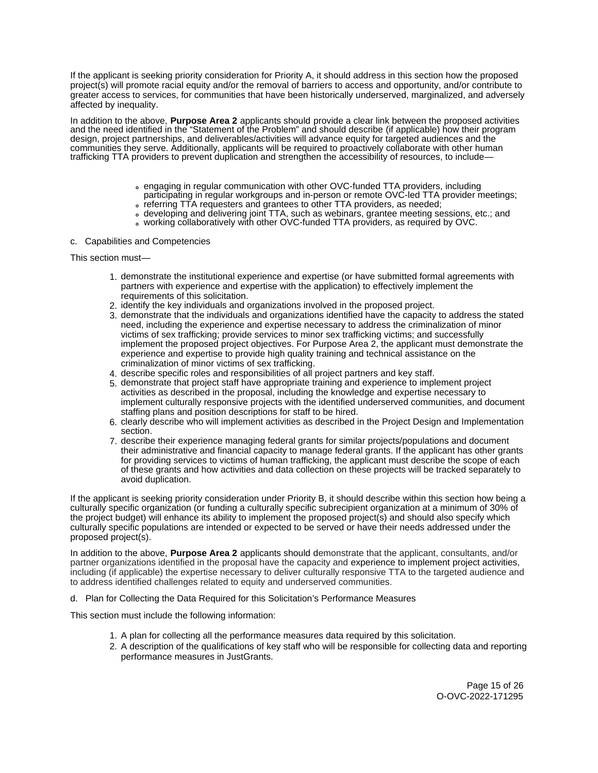If the applicant is seeking priority consideration for Priority A, it should address in this section how the proposed project(s) will promote racial equity and/or the removal of barriers to access and opportunity, and/or contribute to greater access to services, for communities that have been historically underserved, marginalized, and adversely affected by inequality.

In addition to the above, **Purpose Area 2** applicants should provide a clear link between the proposed activities and the need identified in the "Statement of the Problem" and should describe (if applicable) how their program design, project partnerships, and deliverables/activities will advance equity for targeted audiences and the communities they serve. Additionally, applicants will be required to proactively collaborate with other human trafficking TTA providers to prevent duplication and strengthen the accessibility of resources, to include—

- engaging in regular communication with other OVC-funded TTA providers, including
- participating in regular workgroups and in-person or remote OVC-led TTA provider meetings;
- referring TTA requesters and grantees to other TTA providers, as needed;
- developing and delivering joint TTA, such as webinars, grantee meeting sessions, etc.; and
- working collaboratively with other OVC-funded TTA providers, as required by OVC.

#### c. Capabilities and Competencies

This section must—

- 1. demonstrate the institutional experience and expertise (or have submitted formal agreements with partners with experience and expertise with the application) to effectively implement the requirements of this solicitation.
- 2. identify the key individuals and organizations involved in the proposed project.
- 3. demonstrate that the individuals and organizations identified have the capacity to address the stated need, including the experience and expertise necessary to address the criminalization of minor victims of sex trafficking; provide services to minor sex trafficking victims; and successfully implement the proposed project objectives. For Purpose Area 2, the applicant must demonstrate the experience and expertise to provide high quality training and technical assistance on the criminalization of minor victims of sex trafficking.
- 4. describe specific roles and responsibilities of all project partners and key staff.
- 5. demonstrate that project staff have appropriate training and experience to implement project activities as described in the proposal, including the knowledge and expertise necessary to implement culturally responsive projects with the identified underserved communities, and document staffing plans and position descriptions for staff to be hired.
- 6. clearly describe who will implement activities as described in the Project Design and Implementation section.
- 7. describe their experience managing federal grants for similar projects/populations and document their administrative and financial capacity to manage federal grants. If the applicant has other grants for providing services to victims of human trafficking, the applicant must describe the scope of each of these grants and how activities and data collection on these projects will be tracked separately to avoid duplication.

If the applicant is seeking priority consideration under Priority B, it should describe within this section how being a culturally specific organization (or funding a culturally specific subrecipient organization at a minimum of 30% of the project budget) will enhance its ability to implement the proposed project(s) and should also specify which culturally specific populations are intended or expected to be served or have their needs addressed under the proposed project(s).

In addition to the above, **Purpose Area 2** applicants should demonstrate that the applicant, consultants, and/or partner organizations identified in the proposal have the capacity and experience to implement project activities, including (if applicable) the expertise necessary to deliver culturally responsive TTA to the targeted audience and to address identified challenges related to equity and underserved communities.

d. Plan for Collecting the Data Required for this Solicitation's Performance Measures

This section must include the following information:

- 1. A plan for collecting all the performance measures data required by this solicitation.
- 2. A description of the qualifications of key staff who will be responsible for collecting data and reporting performance measures in JustGrants.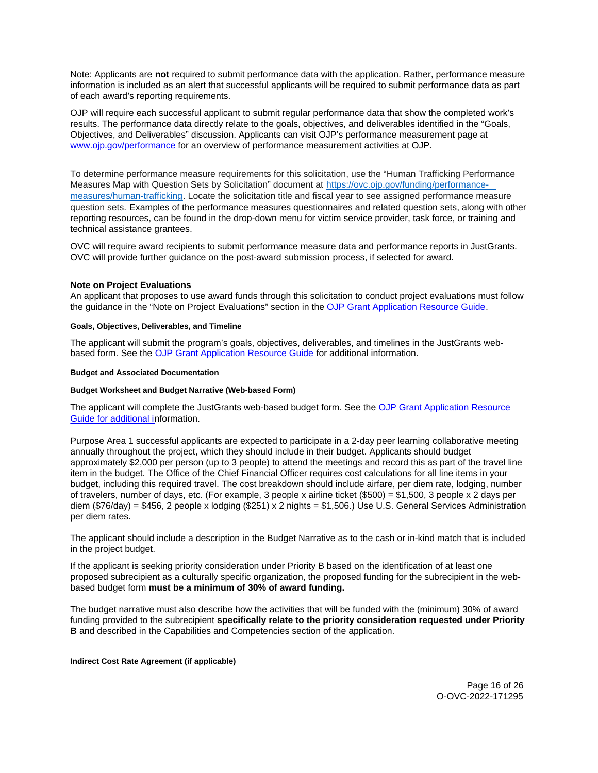<span id="page-15-0"></span>Note: Applicants are **not** required to submit performance data with the application. Rather, performance measure information is included as an alert that successful applicants will be required to submit performance data as part of each award's reporting requirements.

OJP will require each successful applicant to submit regular performance data that show the completed work's results. The performance data directly relate to the goals, objectives, and deliverables identified in the "Goals, Objectives, and Deliverables" discussion. Applicants can visit OJP's performance measurement page at [www.ojp.gov/performance](https://www.ojp.gov/performance) for an overview of performance measurement activities at OJP.

To determine performance measure requirements for this solicitation, use the "Human Trafficking Performance Measures Map with Question Sets by Solicitation" document at [https://ovc.ojp.gov/funding/performance](https://ovc.ojp.gov/funding/performance-measures/human-trafficking)[measures/human-trafficking.](https://ovc.ojp.gov/funding/performance-measures/human-trafficking) Locate the solicitation title and fiscal year to see assigned performance measure question sets. Examples of the performance measures questionnaires and related question sets, along with other reporting resources, can be found in the drop-down menu for victim service provider, task force, or training and technical assistance grantees.

OVC will require award recipients to submit performance measure data and performance reports in JustGrants. OVC will provide further guidance on the post-award submission process, if selected for award.

# **Note on Project Evaluations**

An applicant that proposes to use award funds through this solicitation to conduct project evaluations must follow the guidance in the "Note on Project Evaluations" section in the [OJP Grant Application Resource Guide.](https://www.ojp.gov/funding/Apply/Resources/Grant-App-Resource-Guide.htm)

#### **Goals, Objectives, Deliverables, and Timeline**

The applicant will submit the program's goals, objectives, deliverables, and timelines in the JustGrants webbased form. See the [OJP Grant Application Resource Guide](https://www.ojp.gov/funding/apply/ojp-grant-application-resource-guide) for additional information.

#### **Budget and Associated Documentation**

#### **Budget Worksheet and Budget Narrative (Web-based Form)**

The applicant will complete the JustGrants web-based budget form. See the [OJP Grant Application Resource](https://ojp.gov/funding/Apply/Resources/Grant-App-Resource-Guide.htm)  [Guide](https://ojp.gov/funding/Apply/Resources/Grant-App-Resource-Guide.htm) for additional information.

Purpose Area 1 successful applicants are expected to participate in a 2-day peer learning collaborative meeting annually throughout the project, which they should include in their budget. Applicants should budget approximately \$2,000 per person (up to 3 people) to attend the meetings and record this as part of the travel line item in the budget. The Office of the Chief Financial Officer requires cost calculations for all line items in your budget, including this required travel. The cost breakdown should include airfare, per diem rate, lodging, number of travelers, number of days, etc. (For example, 3 people x airline ticket (\$500) = \$1,500, 3 people x 2 days per diem (\$76/day) = \$456, 2 people x lodging (\$251) x 2 nights = \$1,506.) Use U.S. General Services Administration per diem rates.

The applicant should include a description in the Budget Narrative as to the cash or in-kind match that is included in the project budget.

 based budget form **must be a minimum of 30% of award funding.**  If the applicant is seeking priority consideration under Priority B based on the identification of at least one proposed subrecipient as a culturally specific organization, the proposed funding for the subrecipient in the web-

The budget narrative must also describe how the activities that will be funded with the (minimum) 30% of award funding provided to the subrecipient **specifically relate to the priority consideration requested under Priority B** and described in the Capabilities and Competencies section of the application.

**Indirect Cost Rate Agreement (if applicable)** 

Page 16 of 26 O-OVC-2022-171295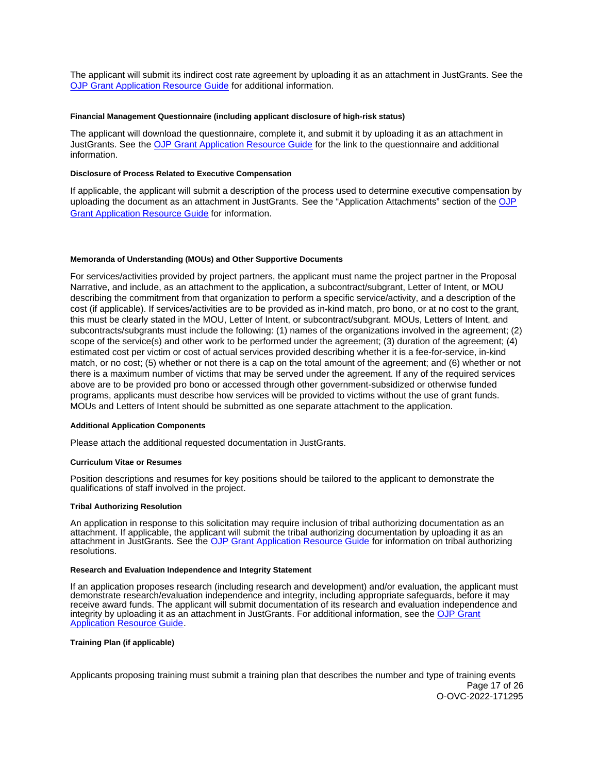<span id="page-16-0"></span>The applicant will submit its indirect cost rate agreement by uploading it as an attachment in JustGrants. See the [OJP Grant Application Resource Guide](https://www.ojp.gov/funding/apply/ojp-grant-application-resource-guide#indirect-cost) for additional information.

#### **Financial Management Questionnaire (including applicant disclosure of high-risk status)**

The applicant will download the questionnaire, complete it, and submit it by uploading it as an attachment in JustGrants. See the [OJP Grant Application Resource Guide](https://www.ojp.gov/funding/apply/ojp-grant-application-resource-guide#fm-internal-controls-questionnaire) for the link to the questionnaire and additional information.

#### **Disclosure of Process Related to Executive Compensation**

If applicable, the applicant will submit a description of the process used to determine executive compensation by uploading the document as an attachment in JustGrants. See the "Application Attachments" section of the [OJP](https://www.ojp.gov/funding/apply/ojp-grant-application-resource-guide#disclosure-process-executive)  [Grant Application Resource Guide](https://www.ojp.gov/funding/apply/ojp-grant-application-resource-guide#disclosure-process-executive) for information.

#### **Memoranda of Understanding (MOUs) and Other Supportive Documents**

For services/activities provided by project partners, the applicant must name the project partner in the Proposal Narrative, and include, as an attachment to the application, a subcontract/subgrant, Letter of Intent, or MOU describing the commitment from that organization to perform a specific service/activity, and a description of the cost (if applicable). If services/activities are to be provided as in-kind match, pro bono, or at no cost to the grant, this must be clearly stated in the MOU, Letter of Intent, or subcontract/subgrant. MOUs, Letters of Intent, and subcontracts/subgrants must include the following: (1) names of the organizations involved in the agreement; (2) scope of the service(s) and other work to be performed under the agreement; (3) duration of the agreement; (4) estimated cost per victim or cost of actual services provided describing whether it is a fee-for-service, in-kind match, or no cost; (5) whether or not there is a cap on the total amount of the agreement; and (6) whether or not there is a maximum number of victims that may be served under the agreement. If any of the required services above are to be provided pro bono or accessed through other government-subsidized or otherwise funded programs, applicants must describe how services will be provided to victims without the use of grant funds. MOUs and Letters of Intent should be submitted as one separate attachment to the application.

#### **Additional Application Components**

Please attach the additional requested documentation in JustGrants.

#### **Curriculum Vitae or Resumes**

Position descriptions and resumes for key positions should be tailored to the applicant to demonstrate the qualifications of staff involved in the project.

#### **Tribal Authorizing Resolution**

An application in response to this solicitation may require inclusion of tribal authorizing documentation as an attachment. If applicable, the applicant will submit the tribal authorizing documentation by uploading it as an attachment in JustGrants. See the [OJP Grant Application Resource Guide](https://www.ojp.gov/funding/apply/ojp-grant-application-resource-guide#tribal-authorizing-resolution) for information on tribal authorizing resolutions.

#### **Research and Evaluation Independence and Integrity Statement**

If an application proposes research (including research and development) and/or evaluation, the applicant must demonstrate research/evaluation independence and integrity, including appropriate safeguards, before it may receive award funds. The applicant will submit documentation of its research and evaluation independence and integrity by uploading it as an attachment in JustGrants. For additional information, see the [OJP Grant](https://www.ojp.gov/funding/apply/ojp-grant-application-resource-guide#research-evaluation)  **[Application Resource Guide.](https://www.ojp.gov/funding/apply/ojp-grant-application-resource-guide#research-evaluation)** 

# **Training Plan (if applicable)**

Applicants proposing training must submit a training plan that describes the number and type of training events Page 17 of 26 O-OVC-2022-171295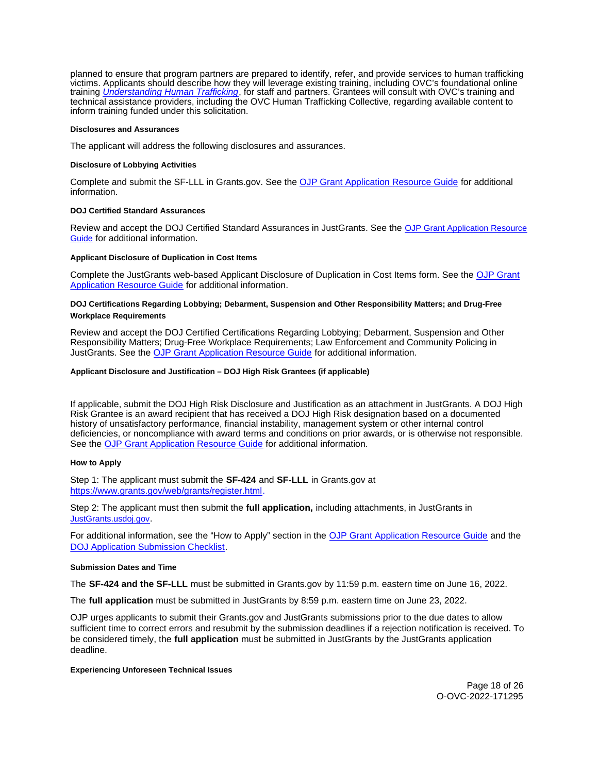<span id="page-17-0"></span>planned to ensure that program partners are prepared to identify, refer, and provide services to human trafficking victims. Applicants should describe how they will leverage existing training, including OVC's foundational online training *[Understanding Human Trafficking](https://www.ovcttac.gov/UnderstandingHumanTrafficking/index.cfm?nm=wbt&ns=ot&nt=ht)*, for staff and partners. Grantees will consult with OVC's training and technical assistance providers, including the OVC Human Trafficking Collective, regarding available content to inform training funded under this solicitation.

#### **Disclosures and Assurances**

The applicant will address the following disclosures and assurances.

#### **Disclosure of Lobbying Activities**

Complete and submit the SF-LLL in [Grants.gov.](https://Grants.gov) See the [OJP Grant Application Resource Guide](https://www.ojp.gov/funding/apply/ojp-grant-application-resource-guide#disclosure-lobby) for additional information.

#### **DOJ Certified Standard Assurances**

Review and accept the DOJ Certified Standard Assurances in JustGrants. See the [OJP Grant Application Resource](https://www.ojp.gov/funding/apply/ojp-grant-application-resource-guide#administrative)  [Guide](https://www.ojp.gov/funding/apply/ojp-grant-application-resource-guide#administrative) for additional information.

#### **Applicant Disclosure of Duplication in Cost Items**

Complete the JustGrants web-based Applicant Disclosure of Duplication in Cost Items form. See the [OJP Grant](https://www.ojp.gov/funding/apply/ojp-grant-application-resource-guide#applicant-disclosure-pending-applications)  [Application Resource Guide](https://www.ojp.gov/funding/apply/ojp-grant-application-resource-guide#applicant-disclosure-pending-applications) for additional information.

#### **DOJ Certifications Regarding Lobbying; Debarment, Suspension and Other Responsibility Matters; and Drug-Free Workplace Requirements**

Review and accept the DOJ Certified Certifications Regarding Lobbying; Debarment, Suspension and Other Responsibility Matters; Drug-Free Workplace Requirements; Law Enforcement and Community Policing in JustGrants. See the [OJP Grant Application Resource Guide](https://www.ojp.gov/funding/apply/ojp-grant-application-resource-guide#administrative) for additional information.

#### **Applicant Disclosure and Justification – DOJ High Risk Grantees (if applicable)**

If applicable, submit the DOJ High Risk Disclosure and Justification as an attachment in JustGrants. A DOJ High Risk Grantee is an award recipient that has received a DOJ High Risk designation based on a documented history of unsatisfactory performance, financial instability, management system or other internal control deficiencies, or noncompliance with award terms and conditions on prior awards, or is otherwise not responsible. See the [OJP Grant Application Resource Guide](https://www.ojp.gov/funding/apply/ojp-grant-application-resource-guide) for additional information.

#### **How to Apply**

Step 1: The applicant must submit the **SF-424** and **SF-LLL** in [Grants.gov](https://Grants.gov) at [https://www.grants.gov/web/grants/register.html.](https://www.grants.gov/web/grants/register.html)

Step 2: The applicant must then submit the **full application,** including attachments, in JustGrants in [JustGrants.usdoj.gov.](https://justicegrants.usdoj.gov/)

For additional information, see the "How to Apply" section in the [OJP Grant Application Resource Guide](https://www.ojp.gov/funding/apply/ojp-grant-application-resource-guide#apply) and the [DOJ Application Submission Checklist.](https://justicegrants.usdoj.gov/sites/g/files/xyckuh296/files/media/document/appln-submission-checklist.pdf)

#### **Submission Dates and Time**

The **SF-424 and the SF-LLL** must be submitted in [Grants.gov](https://Grants.gov) by 11:59 p.m. eastern time on June 16, 2022.

The **full application** must be submitted in JustGrants by 8:59 p.m. eastern time on June 23, 2022.

OJP urges applicants to submit their [Grants.gov](https://Grants.gov) and JustGrants submissions prior to the due dates to allow sufficient time to correct errors and resubmit by the submission deadlines if a rejection notification is received. To be considered timely, the **full application** must be submitted in JustGrants by the JustGrants application deadline.

#### **Experiencing Unforeseen Technical Issues**

Page 18 of 26 O-OVC-2022-171295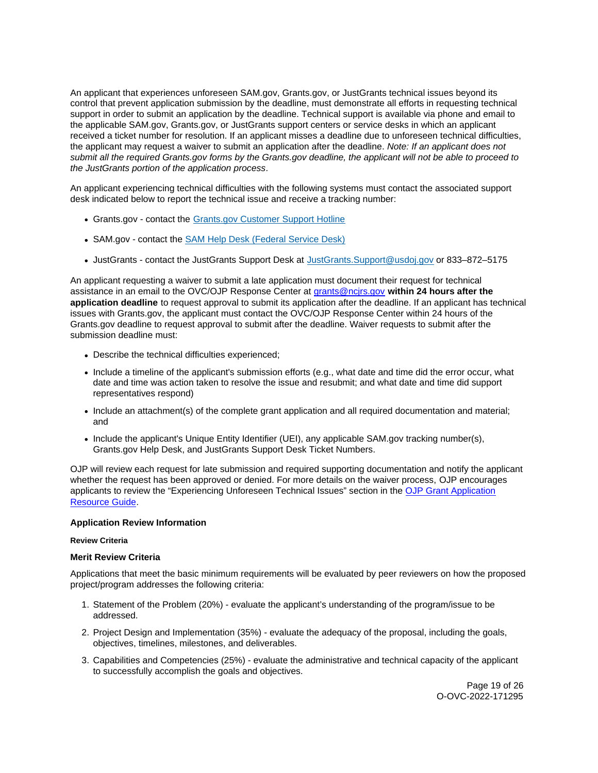<span id="page-18-0"></span>An applicant that experiences unforeseen SAM.gov, [Grants.gov,](https://Grants.gov) or JustGrants technical issues beyond its control that prevent application submission by the deadline, must demonstrate all efforts in requesting technical support in order to submit an application by the deadline. Technical support is available via phone and email to the applicable SAM.gov, [Grants.gov,](https://Grants.gov) or JustGrants support centers or service desks in which an applicant received a ticket number for resolution. If an applicant misses a deadline due to unforeseen technical difficulties, the applicant may request a waiver to submit an application after the deadline. Note: If an applicant does not submit all the required [Grants.gov](https://Grants.gov) forms by the [Grants.gov](https://Grants.gov) deadline, the applicant will not be able to proceed to the JustGrants portion of the application process.

An applicant experiencing technical difficulties with the following systems must contact the associated support desk indicated below to report the technical issue and receive a tracking number:

- [Grants.gov](https://Grants.gov)  contact the [Grants.gov Customer Support Hotline](https://www.grants.gov/web/grants/support.html)
- SAM.gov contact the [SAM Help Desk \(Federal Service Desk\)](https://www.fsd.gov/gsafsd_sp)
- JustGrants contact the JustGrants Support Desk at [JustGrants.Support@usdoj.gov](mailto:JustGrants.Support@usdoj.gov) or 833–872–5175

An applicant requesting a waiver to submit a late application must document their request for technical assistance in an email to the OVC/OJP Response Center at [grants@ncjrs.gov](mailto:grants@ncjrs.gov) **within 24 hours after the application deadline** to request approval to submit its application after the deadline. If an applicant has technical issues with [Grants.gov,](https://Grants.gov) the applicant must contact the OVC/OJP Response Center within 24 hours of the [Grants.gov](https://Grants.gov) deadline to request approval to submit after the deadline. Waiver requests to submit after the submission deadline must:

- Describe the technical difficulties experienced;
- Include a timeline of the applicant's submission efforts (e.g., what date and time did the error occur, what date and time was action taken to resolve the issue and resubmit; and what date and time did support representatives respond)
- Include an attachment(s) of the complete grant application and all required documentation and material; and
- Include the applicant's Unique Entity Identifier (UEI), any applicable SAM.gov tracking number(s), [Grants.gov](https://Grants.gov) Help Desk, and JustGrants Support Desk Ticket Numbers.

OJP will review each request for late submission and required supporting documentation and notify the applicant whether the request has been approved or denied. For more details on the waiver process, OJP encourages applicants to review the "Experiencing Unforeseen Technical Issues" section in the [OJP Grant Application](https://www.ojp.gov/funding/apply/ojp-grant-application-resource-guide#experiencing-unforeseen-technical-issues)  [Resource Guide.](https://www.ojp.gov/funding/apply/ojp-grant-application-resource-guide#experiencing-unforeseen-technical-issues)

# **Application Review Information**

# **Review Criteria**

# **Merit Review Criteria**

Applications that meet the basic minimum requirements will be evaluated by peer reviewers on how the proposed project/program addresses the following criteria:

- 1. Statement of the Problem (20%) evaluate the applicant's understanding of the program/issue to be addressed.
- 2. Project Design and Implementation (35%) evaluate the adequacy of the proposal, including the goals, objectives, timelines, milestones, and deliverables.
- 3. Capabilities and Competencies (25%) evaluate the administrative and technical capacity of the applicant to successfully accomplish the goals and objectives.

Page 19 of 26 O-OVC-2022-171295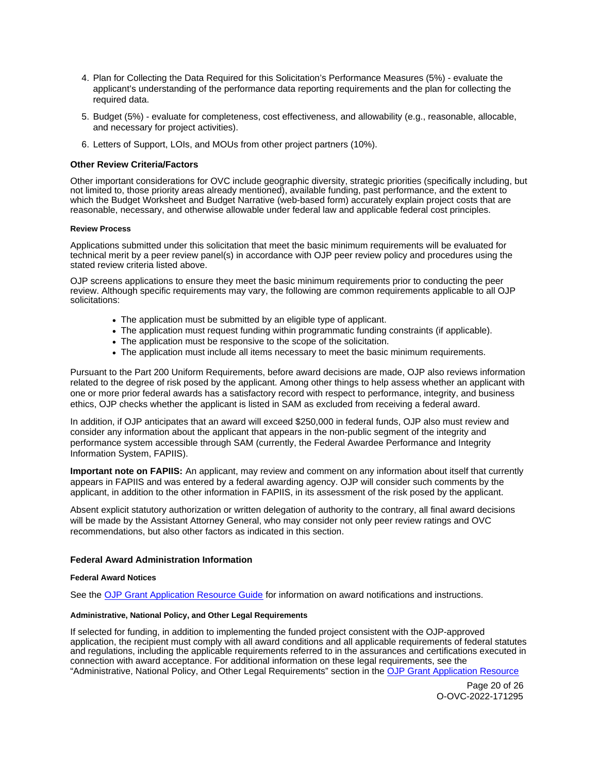- <span id="page-19-0"></span>4. Plan for Collecting the Data Required for this Solicitation's Performance Measures (5%) - evaluate the applicant's understanding of the performance data reporting requirements and the plan for collecting the required data.
- 5. Budget (5%) evaluate for completeness, cost effectiveness, and allowability (e.g., reasonable, allocable, and necessary for project activities).
- 6. Letters of Support, LOIs, and MOUs from other project partners (10%).

#### **Other Review Criteria/Factors**

Other important considerations for OVC include geographic diversity, strategic priorities (specifically including, but not limited to, those priority areas already mentioned), available funding, past performance, and the extent to which the Budget Worksheet and Budget Narrative (web-based form) accurately explain project costs that are reasonable, necessary, and otherwise allowable under federal law and applicable federal cost principles.

#### **Review Process**

Applications submitted under this solicitation that meet the basic minimum requirements will be evaluated for technical merit by a peer review panel(s) in accordance with OJP peer review policy and procedures using the stated review criteria listed above.

OJP screens applications to ensure they meet the basic minimum requirements prior to conducting the peer review. Although specific requirements may vary, the following are common requirements applicable to all OJP solicitations:

- The application must be submitted by an eligible type of applicant.
- The application must request funding within programmatic funding constraints (if applicable).
- The application must be responsive to the scope of the solicitation.
- The application must include all items necessary to meet the basic minimum requirements.

Pursuant to the Part 200 Uniform Requirements, before award decisions are made, OJP also reviews information related to the degree of risk posed by the applicant. Among other things to help assess whether an applicant with one or more prior federal awards has a satisfactory record with respect to performance, integrity, and business ethics, OJP checks whether the applicant is listed in SAM as excluded from receiving a federal award.

In addition, if OJP anticipates that an award will exceed \$250,000 in federal funds, OJP also must review and consider any information about the applicant that appears in the non-public segment of the integrity and performance system accessible through SAM (currently, the Federal Awardee Performance and Integrity Information System, FAPIIS).

**Important note on FAPIIS:** An applicant, may review and comment on any information about itself that currently appears in FAPIIS and was entered by a federal awarding agency. OJP will consider such comments by the applicant, in addition to the other information in FAPIIS, in its assessment of the risk posed by the applicant.

Absent explicit statutory authorization or written delegation of authority to the contrary, all final award decisions will be made by the Assistant Attorney General, who may consider not only peer review ratings and OVC recommendations, but also other factors as indicated in this section.

#### **Federal Award Administration Information**

#### **Federal Award Notices**

See the [OJP Grant Application Resource Guide](https://www.ojp.gov/funding/apply/ojp-grant-application-resource-guide#federal-award-notices) for information on award notifications and instructions.

#### **Administrative, National Policy, and Other Legal Requirements**

If selected for funding, in addition to implementing the funded project consistent with the OJP-approved application, the recipient must comply with all award conditions and all applicable requirements of federal statutes and regulations, including the applicable requirements referred to in the assurances and certifications executed in connection with award acceptance. For additional information on these legal requirements, see the "Administrative, National Policy, and Other Legal Requirements" section in the [OJP Grant Application Resource](https://www.ojp.gov/funding/apply/ojp-grant-application-resource-guide#administrative) 

> Page 20 of 26 O-OVC-2022-171295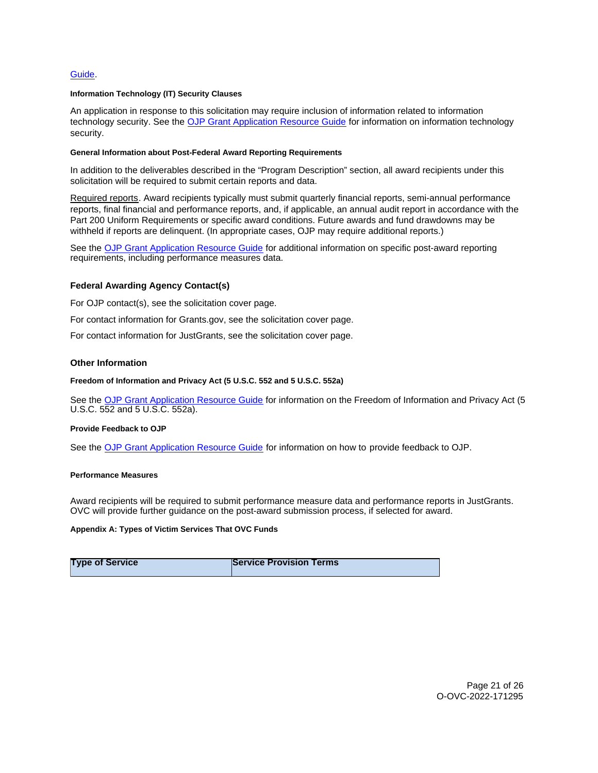#### <span id="page-20-0"></span>[Guide.](https://www.ojp.gov/funding/apply/ojp-grant-application-resource-guide#administrative)

#### **Information Technology (IT) Security Clauses**

An application in response to this solicitation may require inclusion of information related to information technology security. See the [OJP Grant Application Resource Guide](https://www.ojp.gov/funding/apply/ojp-grant-application-resource-guide#information-technology) for information on information technology security.

#### **General Information about Post-Federal Award Reporting Requirements**

In addition to the deliverables described in the "Program Description" section, all award recipients under this solicitation will be required to submit certain reports and data.

Required reports. Award recipients typically must submit quarterly financial reports, semi-annual performance reports, final financial and performance reports, and, if applicable, an annual audit report in accordance with the Part 200 Uniform Requirements or specific award conditions. Future awards and fund drawdowns may be withheld if reports are delinquent. (In appropriate cases, OJP may require additional reports.)

See the [OJP Grant Application Resource Guide](https://www.ojp.gov/funding/Apply/Resources/Grant-App-Resource-Guide.htm) for additional information on specific post-award reporting requirements, including performance measures data.

#### **Federal Awarding Agency Contact(s)**

For OJP contact(s), see the solicitation cover page.

For contact information for [Grants.gov](https://Grants.gov), see the solicitation cover page.

For contact information for JustGrants, see the solicitation cover page.

#### **Other Information**

#### **Freedom of Information and Privacy Act (5 U.S.C. 552 and 5 U.S.C. 552a)**

See the [OJP Grant Application Resource Guide](https://www.ojp.gov/funding/apply/ojp-grant-application-resource-guide#foia) for information on the Freedom of Information and Privacy Act (5 U.S.C. 552 and 5 U.S.C. 552a).

#### **Provide Feedback to OJP**

See the [OJP Grant Application Resource Guide](https://www.ojp.gov/funding/apply/ojp-grant-application-resource-guide#feedback) for information on how to provide feedback to OJP.

#### **Performance Measures**

Award recipients will be required to submit performance measure data and performance reports in JustGrants. OVC will provide further guidance on the post-award submission process, if selected for award.

#### **Appendix A: Types of Victim Services That OVC Funds**

| <b>Type of Service</b> | <b>Service Provision Terms</b> |
|------------------------|--------------------------------|
|------------------------|--------------------------------|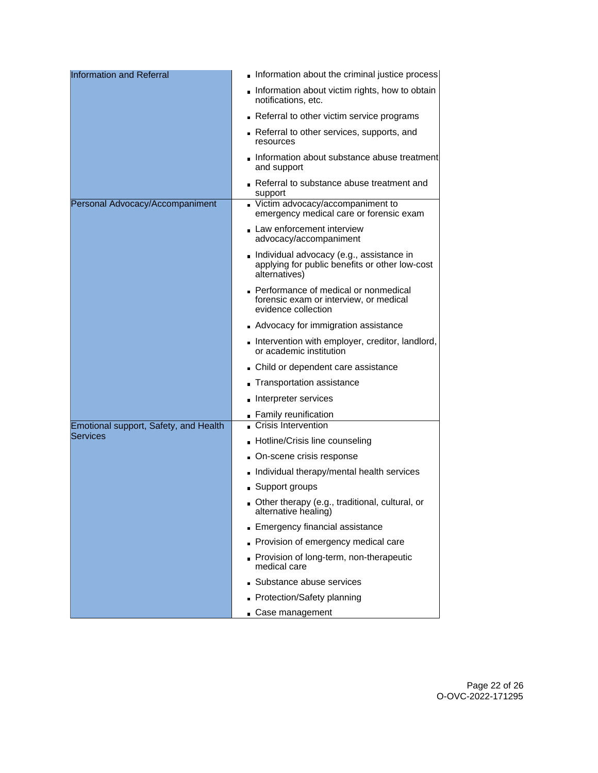| <b>Information and Referral</b>       | Information about the criminal justice process                                                              |
|---------------------------------------|-------------------------------------------------------------------------------------------------------------|
|                                       | Information about victim rights, how to obtain<br>notifications, etc.                                       |
|                                       | Referral to other victim service programs                                                                   |
|                                       | Referral to other services, supports, and<br>resources                                                      |
|                                       | Information about substance abuse treatment<br>and support                                                  |
|                                       | Referral to substance abuse treatment and<br>support                                                        |
| Personal Advocacy/Accompaniment       | Victim advocacy/accompaniment to<br>emergency medical care or forensic exam                                 |
|                                       | Law enforcement interview<br>advocacy/accompaniment                                                         |
|                                       | Individual advocacy (e.g., assistance in<br>applying for public benefits or other low-cost<br>alternatives) |
|                                       | Performance of medical or nonmedical<br>forensic exam or interview, or medical<br>evidence collection       |
|                                       | Advocacy for immigration assistance                                                                         |
|                                       | Intervention with employer, creditor, landlord,<br>or academic institution                                  |
|                                       | Child or dependent care assistance                                                                          |
|                                       | Transportation assistance                                                                                   |
|                                       | Interpreter services                                                                                        |
|                                       | Family reunification                                                                                        |
| Emotional support, Safety, and Health | Crisis Intervention                                                                                         |
| Services                              | ■ Hotline/Crisis line counseling                                                                            |
|                                       | On-scene crisis response                                                                                    |
|                                       | Individual therapy/mental health services                                                                   |
|                                       | ■ Support groups                                                                                            |
|                                       | Other therapy (e.g., traditional, cultural, or<br>alternative healing)                                      |
|                                       | Emergency financial assistance                                                                              |
|                                       | Provision of emergency medical care                                                                         |
|                                       | Provision of long-term, non-therapeutic<br>medical care                                                     |
|                                       | Substance abuse services                                                                                    |
|                                       | Protection/Safety planning                                                                                  |
|                                       | Case management                                                                                             |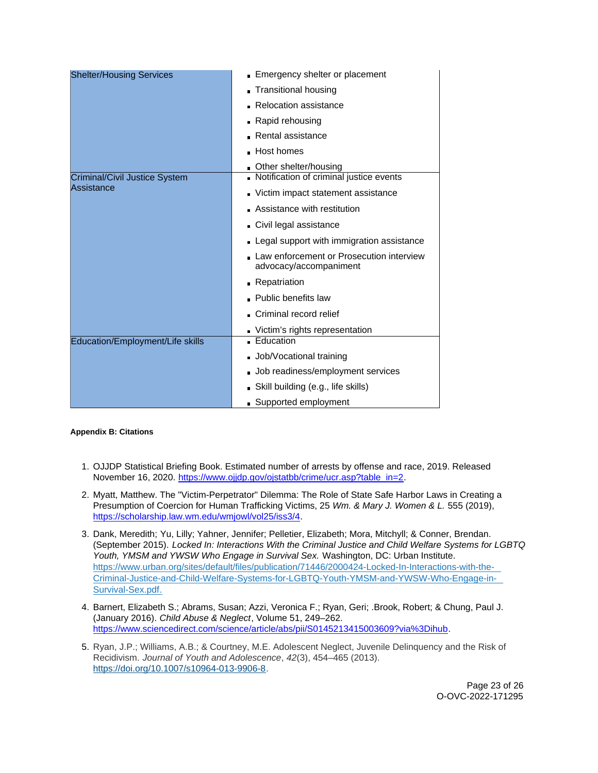<span id="page-22-0"></span>

| <b>Shelter/Housing Services</b>  | Emergency shelter or placement                                     |
|----------------------------------|--------------------------------------------------------------------|
|                                  | <b>Transitional housing</b>                                        |
|                                  | Relocation assistance                                              |
|                                  | Rapid rehousing                                                    |
|                                  | Rental assistance                                                  |
|                                  | Host homes                                                         |
|                                  | Other shelter/housing                                              |
| Criminal/Civil Justice System    | Notification of criminal justice events                            |
| Assistance                       | Victim impact statement assistance                                 |
|                                  | Assistance with restitution                                        |
|                                  | Civil legal assistance                                             |
|                                  | Legal support with immigration assistance                          |
|                                  | Law enforcement or Prosecution interview<br>advocacy/accompaniment |
|                                  | Repatriation                                                       |
|                                  | <b>Public benefits law</b>                                         |
|                                  | Criminal record relief                                             |
|                                  | Victim's rights representation                                     |
| Education/Employment/Life skills | <b>Education</b>                                                   |
|                                  | Job/Vocational training                                            |
|                                  | Job readiness/employment services                                  |
|                                  | Skill building (e.g., life skills)                                 |
|                                  | Supported employment                                               |

# **Appendix B: Citations**

- 1. OJJDP Statistical Briefing Book. Estimated number of arrests by offense and race, 2019. Released November 16, 2020. [https://www.ojjdp.gov/ojstatbb/crime/ucr.asp?table\\_in=2.](https://www.ojjdp.gov/ojstatbb/crime/ucr.asp?table_in=2)
- 2. Myatt, Matthew. The "Victim-Perpetrator" Dilemma: The Role of State Safe Harbor Laws in Creating a Presumption of Coercion for Human Trafficking Victims, 25 Wm. & Mary J. Women & L. 555 (2019), [https://scholarship.law.wm.edu/wmjowl/vol25/iss3/4.](https://scholarship.law.wm.edu/wmjowl/vol25/iss3/4)
- 3. Dank, Meredith; Yu, Lilly; Yahner, Jennifer; Pelletier, Elizabeth; Mora, Mitchyll; & Conner, Brendan. (September 2015). Locked In: Interactions With the Criminal Justice and Child Welfare Systems for LGBTQ Youth, YMSM and YWSW Who Engage in Survival Sex. Washington, DC: Urban Institute. [https://www.urban.org/sites/default/files/publication/71446/2000424-Locked-In-Interactions-with-the-](https://www.urban.org/sites/default/files/publication/71446/2000424-Locked-In-Interactions-with-the-Criminal-Justice-and-Child-Welfare-Systems-for-LGBTQ-Youth-YMSM-and-YWSW-Who-Engage-in-Survival-Sex.pdf)[Criminal-Justice-and-Child-Welfare-Systems-for-LGBTQ-Youth-YMSM-and-YWSW-Who-Engage-in-](https://www.urban.org/sites/default/files/publication/71446/2000424-Locked-In-Interactions-with-the-Criminal-Justice-and-Child-Welfare-Systems-for-LGBTQ-Youth-YMSM-and-YWSW-Who-Engage-in-Survival-Sex.pdf)[Survival-Sex.pdf.](https://www.urban.org/sites/default/files/publication/71446/2000424-Locked-In-Interactions-with-the-Criminal-Justice-and-Child-Welfare-Systems-for-LGBTQ-Youth-YMSM-and-YWSW-Who-Engage-in-Survival-Sex.pdf)
- 4. Barnert, Elizabeth S.; Abrams, Susan; Azzi, Veronica F.; Ryan, Geri; .Brook, Robert; & Chung, Paul J. (January 2016). Child Abuse & Neglect, Volume 51, 249–262. [https://www.sciencedirect.com/science/article/abs/pii/S0145213415003609?via%3Dihub.](https://www.sciencedirect.com/science/article/abs/pii/S0145213415003609?via%3Dihub)
- 5. Ryan, J.P.; Williams, A.B.; & Courtney, M.E. Adolescent Neglect, Juvenile Delinquency and the Risk of Recidivism. Journal of Youth and Adolescence, 42(3), 454–465 (2013). [https://doi.org/10.1007/s10964-013-9906-8.](https://doi.org/10.1007/s10964-013-9906-8)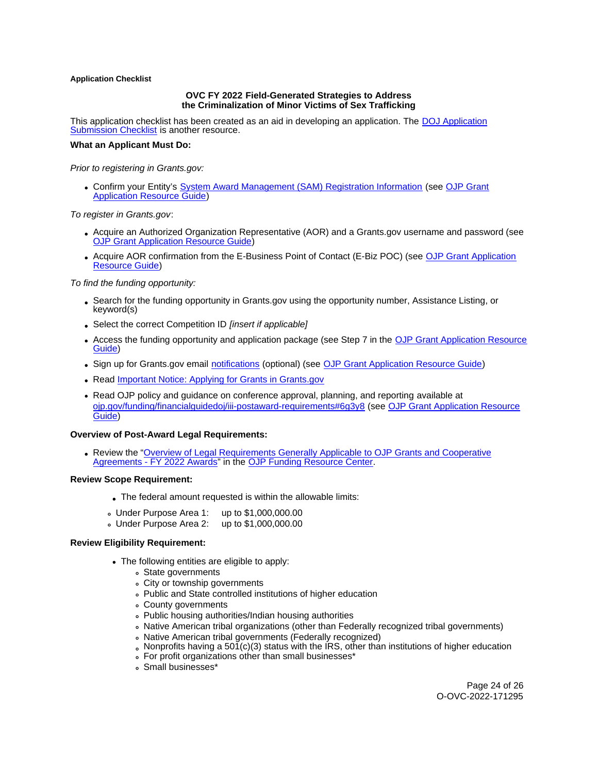#### <span id="page-23-0"></span>**Application Checklist**

#### **OVC FY 2022 Field-Generated Strategies to Address the Criminalization of Minor Victims of Sex Trafficking**

This application checklist has been created as an aid in developing an application. The [DOJ Application](https://justicegrants.usdoj.gov/sites/g/files/xyckuh296/files/media/document/appln-submission-checklist.pdf)  [Submission Checklist](https://justicegrants.usdoj.gov/sites/g/files/xyckuh296/files/media/document/appln-submission-checklist.pdf) is another resource.

#### **What an Applicant Must Do:**

Prior to registering in [Grants.gov](https://Grants.gov):

Confirm your Entity's [System Award Management \(SAM\)](https://sam.gov/SAM/) Registration Information (see [OJP Grant](https://www.ojp.gov/funding/apply/ojp-grant-application-resource-guide#apply)  [Application Resource Guide\)](https://www.ojp.gov/funding/apply/ojp-grant-application-resource-guide#apply)

To register in [Grants.gov](https://Grants.gov):

- Acquire an Authorized Organization Representative (AOR) and a [Grants.gov](https://Grants.gov) username and password (see [OJP Grant Application Resource Guide\)](https://www.ojp.gov/funding/apply/ojp-grant-application-resource-guide#apply)
- Acquire AOR confirmation from the E-Business Point of Contact (E-Biz POC) (see OJP Grant Application [Resource Guide\)](https://www.ojp.gov/funding/apply/ojp-grant-application-resource-guide#apply)

To find the funding opportunity:

- Search for the funding opportunity in [Grants.gov](https://Grants.gov) using the opportunity number, Assistance Listing, or keyword(s)
- Select the correct Competition ID [insert if applicable]
- Access the funding opportunity and application package (see Step 7 in the [OJP Grant Application Resource](https://www.ojp.gov/funding/apply/ojp-grant-application-resource-guide#apply)  [Guide\)](https://www.ojp.gov/funding/apply/ojp-grant-application-resource-guide#apply)
- Sign up for [Grants.gov](https://Grants.gov) email [notifications](https://www.grants.gov/web/grants/manage-subscriptions.html) (optional) (see [OJP Grant Application Resource Guide\)](https://www.ojp.gov/funding/apply/ojp-grant-application-resource-guide#apply)
- Read Important Notice: Applying for Grants in Grants.gov
- Read OJP policy and guidance on conference approval, planning, and reporting available at [ojp.gov/funding/financialguidedoj/iii-postaward-requirements#6g3y8](https://www.ojp.gov/funding/financialguidedoj/iii-postaward-requirements#6g3y8) (see [OJP Grant Application Resource](https://www.ojp.gov/funding/apply/ojp-grant-application-resource-guide#prior-approval)  [Guide\)](https://www.ojp.gov/funding/apply/ojp-grant-application-resource-guide#prior-approval)

#### **Overview of Post-Award Legal Requirements:**

Review the ["Overview of Legal Requirements Generally Applicable to OJP Grants and Cooperative](https://www.ojp.gov/funding/explore/legal-overview-awards)  [Agreements - FY 2022 Awards"](https://www.ojp.gov/funding/explore/legal-overview-awards) in the [OJP Funding Resource Center.](https://www.ojp.gov/funding/explore/legal-overview-awards)

#### **Review Scope Requirement:**

- The federal amount requested is within the allowable limits:
- Under Purpose Area 1: up to \$1,000,000.00
- Under Purpose Area 2: up to \$1,000,000.00

# **Review Eligibility Requirement:**

- The following entities are eligible to apply:
	- State governments
	- City or township governments
	- Public and State controlled institutions of higher education
	- County governments
	- Public housing authorities/Indian housing authorities
	- Native American tribal organizations (other than Federally recognized tribal governments)
	- Native American tribal governments (Federally recognized)
	- $\delta$  Nonprofits having a 501(c)(3) status with the IRS, other than institutions of higher education
	- For profit organizations other than small businesses\*
	- Small businesses\*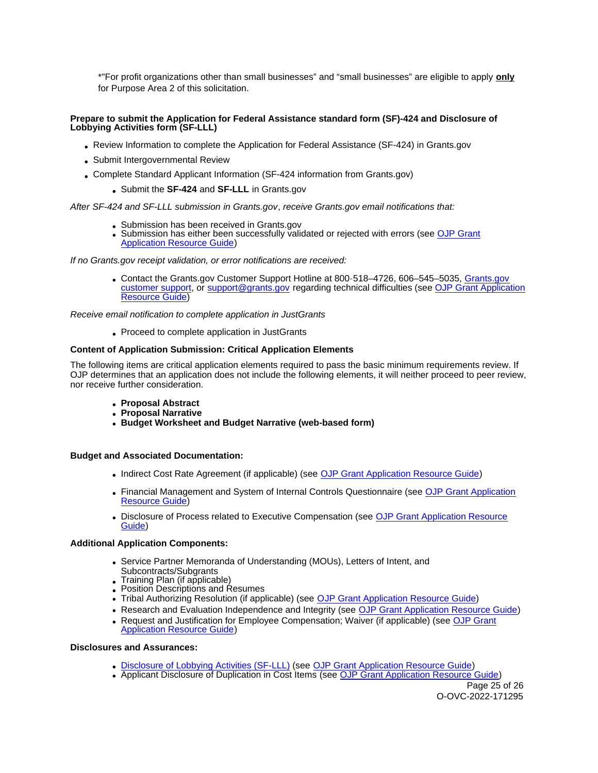\*"For profit organizations other than small businesses" and "small businesses" are eligible to apply **only**  for Purpose Area 2 of this solicitation.

# **Prepare to submit the Application for Federal Assistance standard form (SF)-424 and Disclosure of Lobbying Activities form (SF-LLL)**

- Review Information to complete the Application for Federal Assistance (SF-424) in [Grants.gov](https://Grants.gov)
- Submit Intergovernmental Review
- Complete Standard Applicant Information (SF-424 information from [Grants.gov](https://Grants.gov))
	- Submit the **SF-424** and **SF-LLL** in [Grants.gov](https://Grants.gov)

# After SF-424 and SF-LLL submission in [Grants.gov](https://Grants.gov), receive [Grants.gov](https://Grants.gov) email notifications that:

- Submission has been received in [Grants.gov](https://Grants.gov)
- Submission has either been successfully validated or rejected with errors (see OJP Grant [Application Resource Guide\)](https://ojp.gov/funding/Apply/Resources/Grant-App-Resource-Guide.htm)

If no [Grants.gov](https://Grants.gov) receipt validation, or error notifications are received:

Contact the [Grants.gov](https://Grants.gov) Customer Support Hotline at 800-518–4726, 606–545–5035, [Grants.gov](https://www.grants.gov/web/grants/support.html)  [customer support,](https://www.grants.gov/web/grants/support.html) or [support@grants.gov](mailto:support@grants.gov) regarding technical difficulties (see [OJP Grant Application](https://ojp.gov/funding/Apply/Resources/Grant-App-Resource-Guide.htm)  [Resource Guide\)](https://ojp.gov/funding/Apply/Resources/Grant-App-Resource-Guide.htm)

Receive email notification to complete application in JustGrants

Proceed to complete application in JustGrants

# **Content of Application Submission: Critical Application Elements**

The following items are critical application elements required to pass the basic minimum requirements review. If OJP determines that an application does not include the following elements, it will neither proceed to peer review, nor receive further consideration.

- **Proposal Abstract**
- **Proposal Narrative**
- **Budget Worksheet and Budget Narrative (web-based form)**

# **Budget and Associated Documentation:**

- Indirect Cost Rate Agreement (if applicable) (see [OJP Grant Application Resource Guide\)](https://ojp.gov/funding/Apply/Resources/Grant-App-Resource-Guide.htm)
- Financial Management and System of Internal Controls Questionnaire (see [OJP Grant Application](https://ojp.gov/funding/Apply/Resources/Grant-App-Resource-Guide.htm)  [Resource Guide\)](https://ojp.gov/funding/Apply/Resources/Grant-App-Resource-Guide.htm)
- Disclosure of Process related to Executive Compensation (see OJP Grant Application Resource [Guide\)](https://ojp.gov/funding/Apply/Resources/Grant-App-Resource-Guide.htm)

# **Additional Application Components:**

- Service Partner Memoranda of Understanding (MOUs), Letters of Intent, and Subcontracts/Subgrants
- Training Plan (if applicable)
- Position Descriptions and Resumes
- Tribal Authorizing Resolution (if applicable) (see [OJP Grant Application Resource Guide\)](https://www.ojp.gov/funding/Apply/Resources/Grant-App-Resource-Guide.htm#researchAndEvaluation)
- Research and Evaluation Independence and Integrity (see [OJP Grant Application Resource Guide\)](https://ojp.gov/funding/Apply/Resources/Grant-App-Resource-Guide.htm)
- Request and Justification for Employee Compensation; Waiver (if applicable) (see [OJP Grant](https://ojp.gov/funding/Apply/Resources/Grant-App-Resource-Guide.htm)  [Application Resource Guide\)](https://ojp.gov/funding/Apply/Resources/Grant-App-Resource-Guide.htm)

# **Disclosures and Assurances:**

- [Disclosure of Lobbying Activities \(SF-LLL\)](https://ojp.gov/funding/Apply/Resources/Disclosure.pdf) (see [OJP Grant Application Resource Guide\)](https://ojp.gov/funding/Apply/Resources/Grant-App-Resource-Guide.htm)
- Applicant Disclosure of Duplication in Cost Items (see [OJP Grant Application Resource Guide\)](https://ojp.gov/funding/Apply/Resources/Grant-App-Resource-Guide.htm)